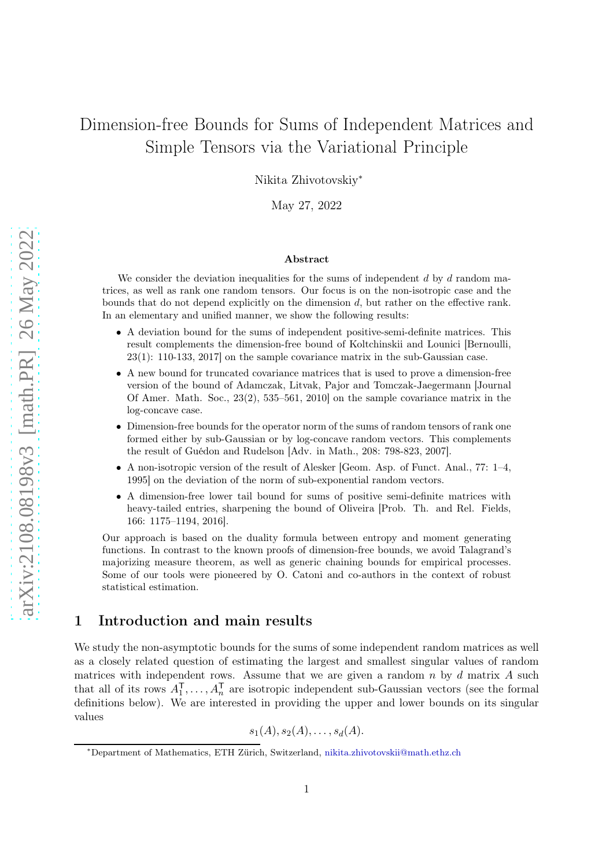# Dimension-free Bounds for Sums of Independent Matrices and Simple Tensors via the Variational Principle

Nikita Zhivotovskiy<sup>∗</sup>

May 27, 2022

#### Abstract

We consider the deviation inequalities for the sums of independent  $d$  by  $d$  random matrices, as well as rank one random tensors. Our focus is on the non-isotropic case and the bounds that do not depend explicitly on the dimension d, but rather on the effective rank. In an elementary and unified manner, we show the following results:

- A deviation bound for the sums of independent positive-semi-definite matrices. This result complements the dimension-free bound of Koltchinskii and Lounici [Bernoulli, 23(1): 110-133, 2017] on the sample covariance matrix in the sub-Gaussian case.
- A new bound for truncated covariance matrices that is used to prove a dimension-free version of the bound of Adamczak, Litvak, Pajor and Tomczak-Jaegermann [Journal Of Amer. Math. Soc., 23(2), 535–561, 2010] on the sample covariance matrix in the log-concave case.
- Dimension-free bounds for the operator norm of the sums of random tensors of rank one formed either by sub-Gaussian or by log-concave random vectors. This complements the result of Guédon and Rudelson [Adv. in Math., 208: 798-823, 2007].
- A non-isotropic version of the result of Alesker [Geom. Asp. of Funct. Anal., 77: 1–4, 1995] on the deviation of the norm of sub-exponential random vectors.
- A dimension-free lower tail bound for sums of positive semi-definite matrices with heavy-tailed entries, sharpening the bound of Oliveira [Prob. Th. and Rel. Fields, 166: 1175–1194, 2016].

Our approach is based on the duality formula between entropy and moment generating functions. In contrast to the known proofs of dimension-free bounds, we avoid Talagrand's majorizing measure theorem, as well as generic chaining bounds for empirical processes. Some of our tools were pioneered by O. Catoni and co-authors in the context of robust statistical estimation.

# 1 Introduction and main results

We study the non-asymptotic bounds for the sums of some independent random matrices as well as a closely related question of estimating the largest and smallest singular values of random matrices with independent rows. Assume that we are given a random  $n$  by  $d$  matrix  $A$  such that all of its rows  $A_1^{\mathsf{T}}, \ldots, A_n^{\mathsf{T}}$  are isotropic independent sub-Gaussian vectors (see the formal definitions below). We are interested in providing the upper and lower bounds on its singular values

 $s_1(A), s_2(A), \ldots, s_d(A).$ 

<sup>∗</sup>Department of Mathematics, ETH Zürich, Switzerland, [nikita.zhivotovskii@math.ethz.ch](mailto:nikita.zhivotovskii@math.ethz.ch)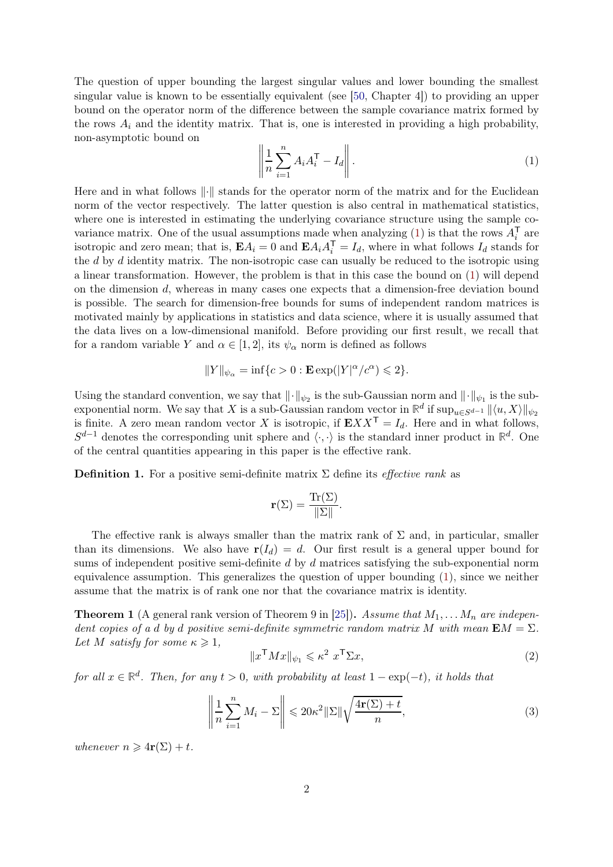The question of upper bounding the largest singular values and lower bounding the smallest singular value is known to be essentially equivalent (see [\[50,](#page-27-0) Chapter 4]) to providing an upper bound on the operator norm of the difference between the sample covariance matrix formed by the rows  $A_i$  and the identity matrix. That is, one is interested in providing a high probability, non-asymptotic bound on

<span id="page-1-0"></span>
$$
\left\| \frac{1}{n} \sum_{i=1}^{n} A_i A_i^{\mathsf{T}} - I_d \right\|.
$$
 (1)

Here and in what follows  $\|\cdot\|$  stands for the operator norm of the matrix and for the Euclidean norm of the vector respectively. The latter question is also central in mathematical statistics, where one is interested in estimating the underlying covariance structure using the sample co-variance matrix. One of the usual assumptions made when analyzing [\(1\)](#page-1-0) is that the rows  $A_i^{\mathsf{T}}$  are isotropic and zero mean; that is,  $\mathbf{E} A_i = 0$  and  $\mathbf{E} A_i A_i^{\mathsf{T}} = I_d$ , where in what follows  $I_d$  stands for the d by d identity matrix. The non-isotropic case can usually be reduced to the isotropic using a linear transformation. However, the problem is that in this case the bound on [\(1\)](#page-1-0) will depend on the dimension d, whereas in many cases one expects that a dimension-free deviation bound is possible. The search for dimension-free bounds for sums of independent random matrices is motivated mainly by applications in statistics and data science, where it is usually assumed that the data lives on a low-dimensional manifold. Before providing our first result, we recall that for a random variable Y and  $\alpha \in [1,2]$ , its  $\psi_{\alpha}$  norm is defined as follows

$$
\|Y\|_{\psi_\alpha}=\inf\{c>0:\mathbf{E}\exp(|Y|^\alpha/c^\alpha)\leqslant 2\}.
$$

Using the standard convention, we say that  $\|\cdot\|_{\psi_2}$  is the sub-Gaussian norm and  $\|\cdot\|_{\psi_1}$  is the subexponential norm. We say that X is a sub-Gaussian random vector in  $\mathbb{R}^d$  if  $\sup_{u\in S^{d-1}} ||\langle u, X\rangle||_{\psi_2}$ is finite. A zero mean random vector X is isotropic, if  $\mathbf{E}XX^{\mathsf{T}} = I_d$ . Here and in what follows,  $S^{d-1}$  denotes the corresponding unit sphere and  $\langle \cdot, \cdot \rangle$  is the standard inner product in  $\mathbb{R}^d$ . One of the central quantities appearing in this paper is the effective rank.

**Definition 1.** For a positive semi-definite matrix  $\Sigma$  define its *effective rank* as

$$
\mathbf{r}(\Sigma) = \frac{\text{Tr}(\Sigma)}{\|\Sigma\|}.
$$

The effective rank is always smaller than the matrix rank of  $\Sigma$  and, in particular, smaller than its dimensions. We also have  $r(I_d) = d$ . Our first result is a general upper bound for sums of independent positive semi-definite d by d matrices satisfying the sub-exponential norm equivalence assumption. This generalizes the question of upper bounding [\(1\)](#page-1-0), since we neither assume that the matrix is of rank one nor that the covariance matrix is identity.

<span id="page-1-3"></span>**Theorem 1** (A general rank version of Theorem 9 in [\[25\]](#page-26-0)). Assume that  $M_1, \ldots, M_n$  are independent copies of a d by d positive semi-definite symmetric random matrix M with mean  $\mathbf{E}M = \Sigma$ . Let M satisfy for some  $\kappa \geqslant 1$ ,

<span id="page-1-2"></span><span id="page-1-1"></span>
$$
||x^{\mathsf{T}}Mx||_{\psi_1} \leqslant \kappa^2 \ x^{\mathsf{T}}\Sigma x,\tag{2}
$$

for all  $x \in \mathbb{R}^d$ . Then, for any  $t > 0$ , with probability at least  $1 - \exp(-t)$ , it holds that

$$
\left\| \frac{1}{n} \sum_{i=1}^{n} M_i - \Sigma \right\| \leq 20\kappa^2 \|\Sigma\| \sqrt{\frac{4\mathbf{r}(\Sigma) + t}{n}},\tag{3}
$$

whenever  $n \geqslant 4r(\Sigma) + t$ .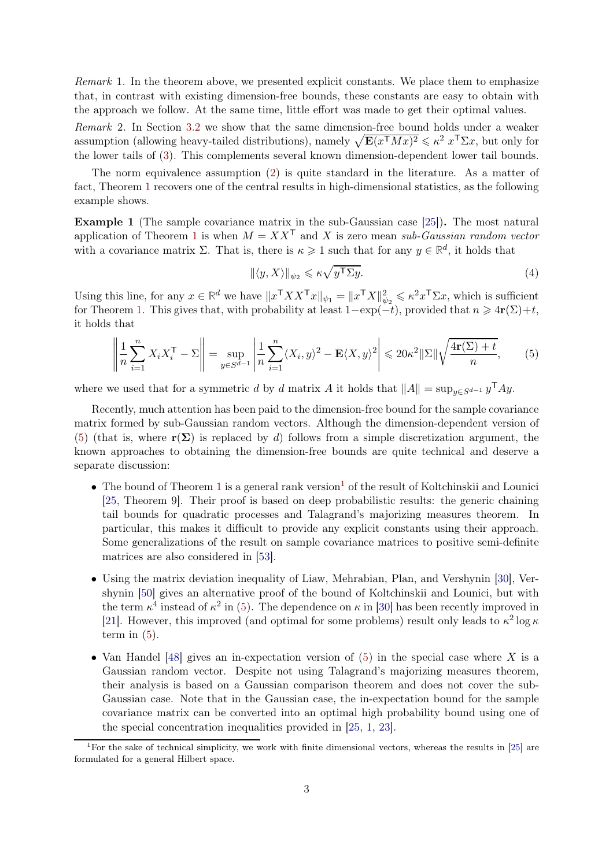Remark 1. In the theorem above, we presented explicit constants. We place them to emphasize that, in contrast with existing dimension-free bounds, these constants are easy to obtain with the approach we follow. At the same time, little effort was made to get their optimal values.

Remark 2. In Section [3.2](#page-22-0) we show that the same dimension-free bound holds under a weaker assumption (allowing heavy-tailed distributions), namely  $\sqrt{\mathbf{E}(x^{\mathsf{T}}Mx)^2} \leq \kappa^2 x^{\mathsf{T}}\Sigma x$ , but only for the lower tails of [\(3\)](#page-1-1). This complements several known dimension-dependent lower tail bounds.

The norm equivalence assumption [\(2\)](#page-1-2) is quite standard in the literature. As a matter of fact, Theorem [1](#page-1-3) recovers one of the central results in high-dimensional statistics, as the following example shows.

<span id="page-2-2"></span>Example 1 (The sample covariance matrix in the sub-Gaussian case [\[25\]](#page-26-0)). The most natural application of Theorem [1](#page-1-3) is when  $M = XX^{\mathsf{T}}$  and X is zero mean sub-Gaussian random vector with a covariance matrix  $\Sigma$ . That is, there is  $\kappa \geq 1$  such that for any  $y \in \mathbb{R}^d$ , it holds that

<span id="page-2-3"></span><span id="page-2-0"></span>
$$
\|\langle y, X \rangle\|_{\psi_2} \leqslant \kappa \sqrt{y^{\mathsf{T}} \Sigma y}.\tag{4}
$$

Using this line, for any  $x \in \mathbb{R}^d$  we have  $||x^\mathsf{T} X X^\mathsf{T} x||_{\psi_1} = ||x^\mathsf{T} X||_{\psi_2}^2 \leqslant \kappa^2 x^\mathsf{T} \Sigma x$ , which is sufficient for Theorem [1.](#page-1-3) This gives that, with probability at least  $1-\exp(-t)$ , provided that  $n \geq 4r(\Sigma)+t$ , it holds that

$$
\left\| \frac{1}{n} \sum_{i=1}^{n} X_i X_i^{\mathsf{T}} - \Sigma \right\| = \sup_{y \in S^{d-1}} \left| \frac{1}{n} \sum_{i=1}^{n} \langle X_i, y \rangle^2 - \mathbf{E} \langle X, y \rangle^2 \right| \leq 20\kappa^2 \|\Sigma\| \sqrt{\frac{4\mathbf{r}(\Sigma) + t}{n}},\tag{5}
$$

where we used that for a symmetric d by d matrix A it holds that  $||A|| = \sup_{y \in S^{d-1}} y^{\mathsf{T}} A y$ .

Recently, much attention has been paid to the dimension-free bound for the sample covariance matrix formed by sub-Gaussian random vectors. Although the dimension-dependent version of [\(5\)](#page-2-0) (that is, where  $r(\Sigma)$  is replaced by d) follows from a simple discretization argument, the known approaches to obtaining the dimension-free bounds are quite technical and deserve a separate discussion:

- The bound of Theorem [1](#page-2-1) is a general rank version<sup>1</sup> of the result of Koltchinskii and Lounici [\[25,](#page-26-0) Theorem 9]. Their proof is based on deep probabilistic results: the generic chaining tail bounds for quadratic processes and Talagrand's majorizing measures theorem. In particular, this makes it difficult to provide any explicit constants using their approach. Some generalizations of the result on sample covariance matrices to positive semi-definite matrices are also considered in [\[53\]](#page-27-1).
- Using the matrix deviation inequality of Liaw, Mehrabian, Plan, and Vershynin [\[30\]](#page-26-1), Vershynin [\[50\]](#page-27-0) gives an alternative proof of the bound of Koltchinskii and Lounici, but with the term  $\kappa^4$  instead of  $\kappa^2$  in [\(5\)](#page-2-0). The dependence on  $\kappa$  in [\[30\]](#page-26-1) has been recently improved in [\[21\]](#page-26-2). However, this improved (and optimal for some problems) result only leads to  $\kappa^2 \log \kappa$ term in  $(5)$ .
- Van Handel [\[48\]](#page-27-2) gives an in-expectation version of  $(5)$  in the special case where X is a Gaussian random vector. Despite not using Talagrand's majorizing measures theorem, their analysis is based on a Gaussian comparison theorem and does not cover the sub-Gaussian case. Note that in the Gaussian case, the in-expectation bound for the sample covariance matrix can be converted into an optimal high probability bound using one of the special concentration inequalities provided in [\[25,](#page-26-0) [1,](#page-25-0) [23\]](#page-26-3).

<span id="page-2-1"></span><sup>&</sup>lt;sup>1</sup>For the sake of technical simplicity, we work with finite dimensional vectors, whereas the results in [\[25\]](#page-26-0) are formulated for a general Hilbert space.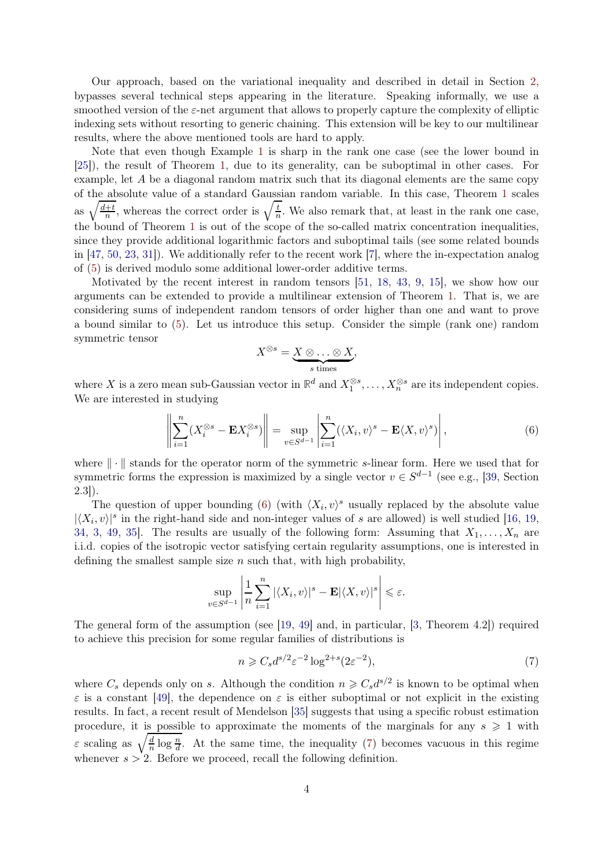Our approach, based on the variational inequality and described in detail in Section [2,](#page-5-0) bypasses several technical steps appearing in the literature. Speaking informally, we use a smoothed version of the  $\varepsilon$ -net argument that allows to properly capture the complexity of elliptic indexing sets without resorting to generic chaining. This extension will be key to our multilinear results, where the above mentioned tools are hard to apply.

Note that even though Example [1](#page-2-2) is sharp in the rank one case (see the lower bound in [\[25\]](#page-26-0)), the result of Theorem [1,](#page-1-3) due to its generality, can be suboptimal in other cases. For example, let  $A$  be a diagonal random matrix such that its diagonal elements are the same copy of the absolute value of a standard Gaussian random variable. In this case, Theorem [1](#page-1-3) scales as  $\sqrt{\frac{d+t}{n}}$  $\frac{1}{n}$ , whereas the correct order is  $\sqrt{\frac{t}{n}}$  $\frac{t}{n}$ . We also remark that, at least in the rank one case, the bound of Theorem [1](#page-1-3) is out of the scope of the so-called matrix concentration inequalities, since they provide additional logarithmic factors and suboptimal tails (see some related bounds in [\[47,](#page-27-3) [50,](#page-27-0) [23,](#page-26-3) [31\]](#page-26-4)). We additionally refer to the recent work [\[7\]](#page-25-1), where the in-expectation analog of [\(5\)](#page-2-0) is derived modulo some additional lower-order additive terms.

Motivated by the recent interest in random tensors [\[51,](#page-27-4) [18,](#page-26-5) [43,](#page-27-5) [9,](#page-25-2) [15\]](#page-26-6), we show how our arguments can be extended to provide a multilinear extension of Theorem [1.](#page-1-3) That is, we are considering sums of independent random tensors of order higher than one and want to prove a bound similar to [\(5\)](#page-2-0). Let us introduce this setup. Consider the simple (rank one) random symmetric tensor

<span id="page-3-0"></span>
$$
X^{\otimes s} = \underbrace{X \otimes \ldots \otimes X}_{s \text{ times}},
$$

where X is a zero mean sub-Gaussian vector in  $\mathbb{R}^d$  and  $X_1^{\otimes s}, \ldots, X_n^{\otimes s}$  are its independent copies. We are interested in studying

$$
\left\| \sum_{i=1}^{n} (X_i^{\otimes s} - \mathbf{E} X_i^{\otimes s}) \right\| = \sup_{v \in S^{d-1}} \left| \sum_{i=1}^{n} (\langle X_i, v \rangle^s - \mathbf{E} \langle X, v \rangle^s) \right|,
$$
(6)

where  $\|\cdot\|$  stands for the operator norm of the symmetric s-linear form. Here we used that for symmetric forms the expression is maximized by a single vector  $v \in S^{d-1}$  (see e.g., [\[39,](#page-26-7) Section 2.3]).

The question of upper bounding [\(6\)](#page-3-0) (with  $\langle X_i, v \rangle^s$  usually replaced by the absolute value  $|\langle X_i, v \rangle|^s$  in the right-hand side and non-integer values of s are allowed) is well studied [\[16,](#page-26-8) [19,](#page-26-9) [34,](#page-26-10) [3,](#page-25-3) [49,](#page-27-6) 35. The results are usually of the following form: Assuming that  $X_1, \ldots, X_n$  are i.i.d. copies of the isotropic vector satisfying certain regularity assumptions, one is interested in defining the smallest sample size  $n$  such that, with high probability,

$$
\sup_{v \in S^{d-1}} \left| \frac{1}{n} \sum_{i=1}^n |\langle X_i, v \rangle|^s - \mathbf{E} |\langle X, v \rangle|^s \right| \leq \varepsilon.
$$

The general form of the assumption (see [\[19,](#page-26-9) [49\]](#page-27-6) and, in particular, [\[3,](#page-25-3) Theorem 4.2]) required to achieve this precision for some regular families of distributions is

<span id="page-3-1"></span>
$$
n \geq C_s d^{s/2} \varepsilon^{-2} \log^{2+s} (2\varepsilon^{-2}),\tag{7}
$$

where  $C_s$  depends only on s. Although the condition  $n \geqslant C_s d^{s/2}$  is known to be optimal when  $\varepsilon$  is a constant [\[49\]](#page-27-6), the dependence on  $\varepsilon$  is either suboptimal or not explicit in the existing results. In fact, a recent result of Mendelson [\[35\]](#page-26-11) suggests that using a specific robust estimation procedure, it is possible to approximate the moments of the marginals for any  $s \geq 1$  with  $\varepsilon$  scaling as  $\sqrt{\frac{d}{n}}$  $\frac{d}{n}$  log  $\frac{n}{d}$ . At the same time, the inequality [\(7\)](#page-3-1) becomes vacuous in this regime whenever  $s > 2$ . Before we proceed, recall the following definition.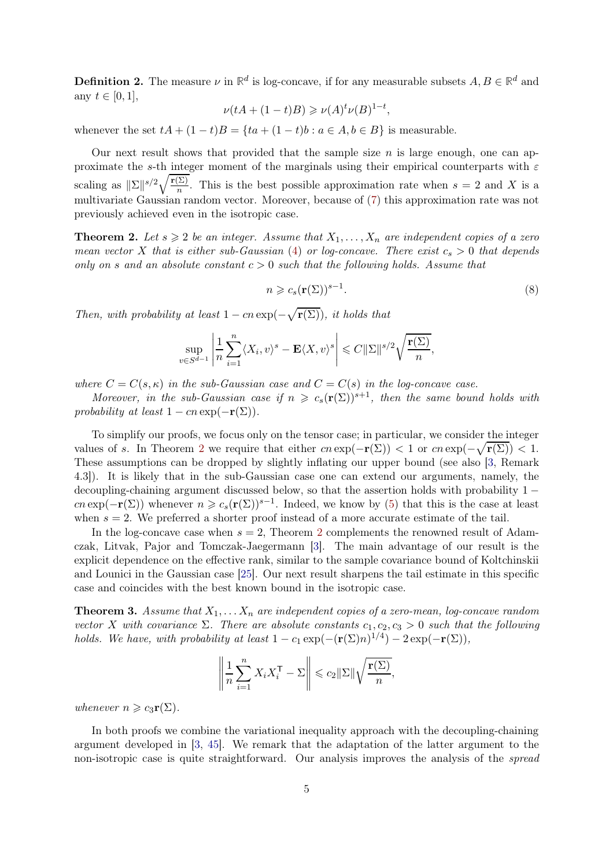**Definition 2.** The measure  $\nu$  in  $\mathbb{R}^d$  is log-concave, if for any measurable subsets  $A, B \in \mathbb{R}^d$  and any  $t \in [0, 1]$ ,

$$
\nu(tA + (1-t)B) \geqslant \nu(A)^t \nu(B)^{1-t},
$$

whenever the set  $tA + (1-t)B = \{ta + (1-t)b : a \in A, b \in B\}$  is measurable.

Our next result shows that provided that the sample size  $n$  is large enough, one can approximate the s-th integer moment of the marginals using their empirical counterparts with  $\varepsilon$ scaling as  $\|\Sigma\|^{s/2}\sqrt{\frac{\mathbf{r}(\Sigma)}{n}}$  $\frac{\sum j}{n}$ . This is the best possible approximation rate when  $s = 2$  and X is a multivariate Gaussian random vector. Moreover, because of [\(7\)](#page-3-1) this approximation rate was not previously achieved even in the isotropic case.

<span id="page-4-0"></span>**Theorem 2.** Let  $s \geq 2$  be an integer. Assume that  $X_1, \ldots, X_n$  are independent copies of a zero mean vector X that is either sub-Gaussian [\(4\)](#page-2-3) or log-concave. There exist  $c_s > 0$  that depends only on s and an absolute constant  $c > 0$  such that the following holds. Assume that

<span id="page-4-2"></span>
$$
n \geqslant c_s(\mathbf{r}(\Sigma))^{s-1}.\tag{8}
$$

Then, with probability at least  $1 - cn \exp(-\sqrt{\mathbf{r}(\Sigma)})$ , it holds that

$$
\sup_{v \in S^{d-1}} \left| \frac{1}{n} \sum_{i=1}^n \langle X_i, v \rangle^s - \mathbf{E} \langle X, v \rangle^s \right| \leqslant C ||\Sigma||^{s/2} \sqrt{\frac{\mathbf{r}(\Sigma)}{n}},
$$

where  $C = C(s, \kappa)$  in the sub-Gaussian case and  $C = C(s)$  in the log-concave case.

Moreover, in the sub-Gaussian case if  $n \geq c_s(\mathbf{r}(\Sigma))^{s+1}$ , then the same bound holds with probability at least  $1 - cn \exp(-r(\Sigma)).$ 

To simplify our proofs, we focus only on the tensor case; in particular, we consider the integer values of s. In Theorem [2](#page-4-0) we require that either  $cn \exp(-r(\Sigma)) < 1$  or  $cn \exp(-\sqrt{r(\Sigma)}) < 1$ . These assumptions can be dropped by slightly inflating our upper bound (see also [\[3,](#page-25-3) Remark 4.3]). It is likely that in the sub-Gaussian case one can extend our arguments, namely, the decoupling-chaining argument discussed below, so that the assertion holds with probability  $1$ cn exp( $-\mathbf{r}(\Sigma)$ ) whenever  $n \geq c_s(\mathbf{r}(\Sigma))^{s-1}$ . Indeed, we know by [\(5\)](#page-2-0) that this is the case at least when  $s = 2$ . We preferred a shorter proof instead of a more accurate estimate of the tail.

In the log-concave case when  $s = 2$  $s = 2$ , Theorem 2 complements the renowned result of Adamczak, Litvak, Pajor and Tomczak-Jaegermann [\[3\]](#page-25-3). The main advantage of our result is the explicit dependence on the effective rank, similar to the sample covariance bound of Koltchinskii and Lounici in the Gaussian case [\[25\]](#page-26-0). Our next result sharpens the tail estimate in this specific case and coincides with the best known bound in the isotropic case.

<span id="page-4-1"></span>**Theorem 3.** Assume that  $X_1, \ldots, X_n$  are independent copies of a zero-mean, log-concave random vector X with covariance  $\Sigma$ . There are absolute constants  $c_1, c_2, c_3 > 0$  such that the following holds. We have, with probability at least  $1 - c_1 \exp(-(\mathbf{r}(\Sigma)n)^{1/4}) - 2 \exp(-\mathbf{r}(\Sigma)),$ 

$$
\left\| \frac{1}{n} \sum_{i=1}^{n} X_i X_i^{\mathsf{T}} - \Sigma \right\| \leqslant c_2 \| \Sigma \| \sqrt{\frac{\mathbf{r}(\Sigma)}{n}},
$$

whenever  $n \geqslant c_3 \mathbf{r}(\Sigma)$ .

In both proofs we combine the variational inequality approach with the decoupling-chaining argument developed in [\[3,](#page-25-3) [45\]](#page-27-7). We remark that the adaptation of the latter argument to the non-isotropic case is quite straightforward. Our analysis improves the analysis of the *spread*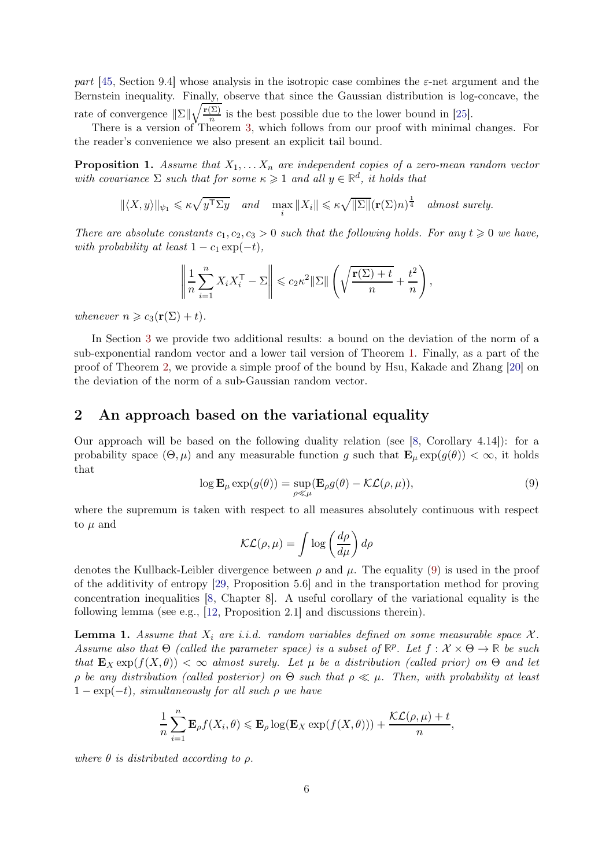part [\[45,](#page-27-7) Section 9.4] whose analysis in the isotropic case combines the  $\varepsilon$ -net argument and the Bernstein inequality. Finally, observe that since the Gaussian distribution is log-concave, the rate of convergence  $\|\Sigma\| \sqrt{\frac{\mathbf{r}(\Sigma)}{n}}$  $\frac{\sum j}{n}$  is the best possible due to the lower bound in [\[25\]](#page-26-0).

There is a version of Theorem [3,](#page-4-1) which follows from our proof with minimal changes. For the reader's convenience we also present an explicit tail bound.

<span id="page-5-3"></span>**Proposition 1.** Assume that  $X_1, \ldots, X_n$  are independent copies of a zero-mean random vector with covariance  $\Sigma$  such that for some  $\kappa \geq 1$  and all  $y \in \mathbb{R}^d$ , it holds that

$$
\|\langle X,y\rangle\|_{\psi_1} \leqslant \kappa \sqrt{y^{\mathsf{T}}\Sigma y} \quad \text{and} \quad \max_i \|X_i\| \leqslant \kappa \sqrt{\|\Sigma\|} (\mathbf{r}(\Sigma)n)^{\frac{1}{4}} \quad \text{almost surely.}
$$

There are absolute constants  $c_1, c_2, c_3 > 0$  such that the following holds. For any  $t \geq 0$  we have, with probability at least  $1 - c_1 \exp(-t)$ ,

$$
\left\|\frac{1}{n}\sum_{i=1}^n X_i X_i^{\mathsf{T}} - \Sigma\right\| \leqslant c_2 \kappa^2 \|\Sigma\| \left(\sqrt{\frac{\mathbf{r}(\Sigma) + t}{n}} + \frac{t^2}{n}\right),\,
$$

whenever  $n \geq c_3(\mathbf{r}(\Sigma) + t)$ .

In Section [3](#page-20-0) we provide two additional results: a bound on the deviation of the norm of a sub-exponential random vector and a lower tail version of Theorem [1.](#page-1-3) Finally, as a part of the proof of Theorem [2,](#page-4-0) we provide a simple proof of the bound by Hsu, Kakade and Zhang [\[20\]](#page-26-12) on the deviation of the norm of a sub-Gaussian random vector.

## <span id="page-5-0"></span>2 An approach based on the variational equality

Our approach will be based on the following duality relation (see [\[8,](#page-25-4) Corollary 4.14]): for a probability space  $(\Theta, \mu)$  and any measurable function g such that  $\mathbf{E}_{\mu} \exp(g(\theta)) < \infty$ , it holds that

$$
\log \mathbf{E}_{\mu} \exp(g(\theta)) = \sup_{\rho \ll \mu} (\mathbf{E}_{\rho} g(\theta) - \mathcal{KL}(\rho, \mu)), \tag{9}
$$

where the supremum is taken with respect to all measures absolutely continuous with respect to  $\mu$  and

<span id="page-5-1"></span>
$$
\mathcal{KL}(\rho, \mu) = \int \log \left(\frac{d\rho}{d\mu}\right) d\rho
$$

denotes the Kullback-Leibler divergence between  $\rho$  and  $\mu$ . The equality [\(9\)](#page-5-1) is used in the proof of the additivity of entropy [\[29,](#page-26-13) Proposition 5.6] and in the transportation method for proving concentration inequalities [\[8,](#page-25-4) Chapter 8]. A useful corollary of the variational equality is the following lemma (see e.g., [\[12,](#page-25-5) Proposition 2.1] and discussions therein).

<span id="page-5-2"></span>**Lemma 1.** Assume that  $X_i$  are i.i.d. random variables defined on some measurable space  $X$ . Assume also that  $\Theta$  (called the parameter space) is a subset of  $\mathbb{R}^p$ . Let  $f: \mathcal{X} \times \Theta \to \mathbb{R}$  be such that  $\mathbf{E}_X \exp(f(X, \theta)) < \infty$  almost surely. Let  $\mu$  be a distribution (called prior) on  $\Theta$  and let ρ be any distribution (called posterior) on Θ such that ρ ≪ µ. Then, with probability at least  $1 - \exp(-t)$ , simultaneously for all such  $\rho$  we have

$$
\frac{1}{n}\sum_{i=1}^n \mathbf{E}_{\rho}f(X_i,\theta) \leqslant \mathbf{E}_{\rho}\log(\mathbf{E}_X\exp(f(X,\theta))) + \frac{\mathcal{KL}(\rho,\mu)+t}{n},
$$

where  $\theta$  is distributed according to  $\rho$ .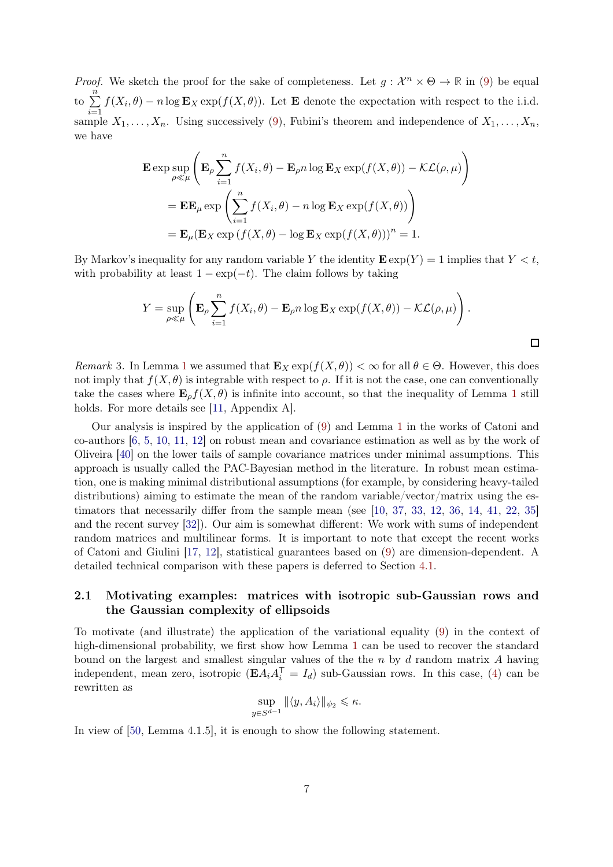*Proof.* We sketch the proof for the sake of completeness. Let  $g: \mathcal{X}^n \times \Theta \to \mathbb{R}$  in [\(9\)](#page-5-1) be equal to  $\sum_{n=1}^{\infty}$  $i=1$  $f(X_i, \theta) - n \log \mathbf{E}_X \exp(f(X, \theta))$ . Let **E** denote the expectation with respect to the i.i.d. sample  $X_1, \ldots, X_n$ . Using successively [\(9\)](#page-5-1), Fubini's theorem and independence of  $X_1, \ldots, X_n$ , we have

$$
\mathbf{E} \exp \sup_{\rho \ll \mu} \left( \mathbf{E}_{\rho} \sum_{i=1}^{n} f(X_i, \theta) - \mathbf{E}_{\rho} n \log \mathbf{E}_X \exp(f(X, \theta)) - \mathcal{KL}(\rho, \mu) \right)
$$
  
= 
$$
\mathbf{E} \mathbf{E}_{\mu} \exp \left( \sum_{i=1}^{n} f(X_i, \theta) - n \log \mathbf{E}_X \exp(f(X, \theta)) \right)
$$
  
= 
$$
\mathbf{E}_{\mu} (\mathbf{E}_X \exp(f(X, \theta) - \log \mathbf{E}_X \exp(f(X, \theta)))^n = 1.
$$

By Markov's inequality for any random variable Y the identity  $\mathbf{E} \exp(Y) = 1$  implies that  $Y \leq t$ , with probability at least  $1 - \exp(-t)$ . The claim follows by taking

$$
Y = \sup_{\rho \ll \mu} \left( \mathbf{E}_{\rho} \sum_{i=1}^{n} f(X_i, \theta) - \mathbf{E}_{\rho} n \log \mathbf{E}_X \exp(f(X, \theta)) - \mathcal{KL}(\rho, \mu) \right).
$$

Remark 3. In Lemma [1](#page-5-2) we assumed that  $\mathbf{E}_X \exp(f(X, \theta)) < \infty$  for all  $\theta \in \Theta$ . However, this does not imply that  $f(X, \theta)$  is integrable with respect to  $\rho$ . If it is not the case, one can conventionally take the cases where  $\mathbf{E}_{\rho}f(X,\theta)$  is infinite into account, so that the inequality of Lemma [1](#page-5-2) still holds. For more details see [\[11,](#page-25-6) Appendix A].

Our analysis is inspired by the application of [\(9\)](#page-5-1) and Lemma [1](#page-5-2) in the works of Catoni and co-authors [\[6,](#page-25-7) [5,](#page-25-8) [10,](#page-25-9) [11,](#page-25-6) [12\]](#page-25-5) on robust mean and covariance estimation as well as by the work of Oliveira [\[40\]](#page-26-14) on the lower tails of sample covariance matrices under minimal assumptions. This approach is usually called the PAC-Bayesian method in the literature. In robust mean estimation, one is making minimal distributional assumptions (for example, by considering heavy-tailed distributions) aiming to estimate the mean of the random variable/vector/matrix using the estimators that necessarily differ from the sample mean (see [\[10,](#page-25-9) [37,](#page-26-15) [33,](#page-26-16) [12,](#page-25-5) [36,](#page-26-17) [14,](#page-26-18) [41,](#page-27-8) [22,](#page-26-19) [35\]](#page-26-11) and the recent survey [\[32\]](#page-26-20)). Our aim is somewhat different: We work with sums of independent random matrices and multilinear forms. It is important to note that except the recent works of Catoni and Giulini [\[17,](#page-26-21) [12\]](#page-25-5), statistical guarantees based on [\(9\)](#page-5-1) are dimension-dependent. A detailed technical comparison with these papers is deferred to Section [4.1.](#page-24-0)

## 2.1 Motivating examples: matrices with isotropic sub-Gaussian rows and the Gaussian complexity of ellipsoids

To motivate (and illustrate) the application of the variational equality [\(9\)](#page-5-1) in the context of high-dimensional probability, we first show how Lemma [1](#page-5-2) can be used to recover the standard bound on the largest and smallest singular values of the the  $n$  by  $d$  random matrix  $A$  having independent, mean zero, isotropic  $(\mathbf{E}\tilde{A}_iA_i^{\mathsf{T}}=I_d)$  sub-Gaussian rows. In this case, [\(4\)](#page-2-3) can be rewritten as

$$
\sup_{y \in S^{d-1}} \|\langle y, A_i \rangle\|_{\psi_2} \le \kappa.
$$

In view of [\[50,](#page-27-0) Lemma 4.1.5], it is enough to show the following statement.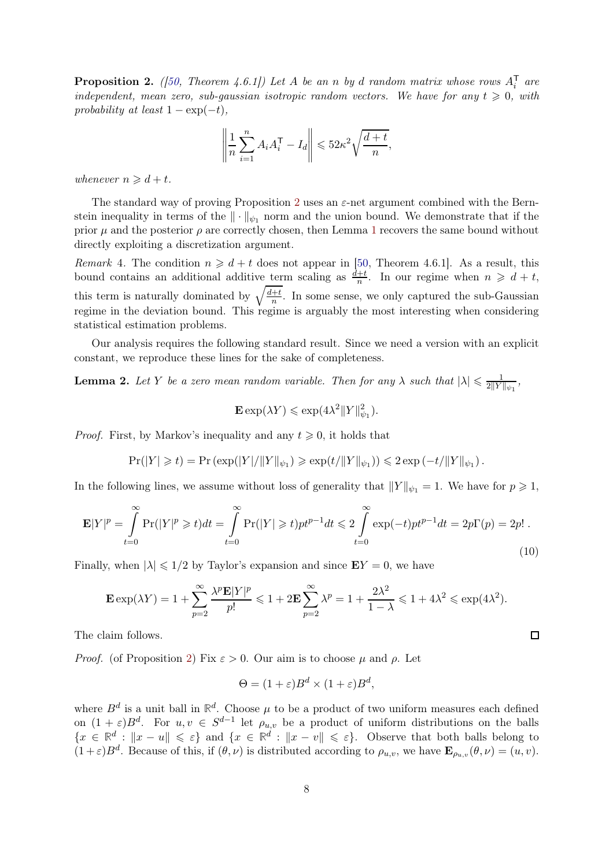<span id="page-7-0"></span>**Proposition 2.** ([\[50,](#page-27-0) Theorem 4.6.1]) Let A be an n by d random matrix whose rows  $A_i^{\mathsf{T}}$  are independent, mean zero, sub-gaussian isotropic random vectors. We have for any  $t \geq 0$ , with probability at least  $1 - \exp(-t)$ ,

$$
\left\| \frac{1}{n} \sum_{i=1}^{n} A_i A_i^{\mathsf{T}} - I_d \right\| \leqslant 52\kappa^2 \sqrt{\frac{d+t}{n}},
$$

whenever  $n \geq d + t$ .

The standard way of proving Proposition [2](#page-7-0) uses an  $\varepsilon$ -net argument combined with the Bernstein inequality in terms of the  $\|\cdot\|_{\psi_1}$  norm and the union bound. We demonstrate that if the prior  $\mu$  and the posterior  $\rho$  are correctly chosen, then Lemma [1](#page-5-2) recovers the same bound without directly exploiting a discretization argument.

*Remark* 4. The condition  $n \geq d + t$  does not appear in [\[50,](#page-27-0) Theorem 4.6.1]. As a result, this bound contains an additional additive term scaling as  $\frac{d+t}{n}$ . In our regime when  $n \geq d+t$ , this term is naturally dominated by  $\sqrt{\frac{d+t}{n}}$  $\frac{+t}{n}$ . In some sense, we only captured the sub-Gaussian regime in the deviation bound. This regime is arguably the most interesting when considering statistical estimation problems.

Our analysis requires the following standard result. Since we need a version with an explicit constant, we reproduce these lines for the sake of completeness.

<span id="page-7-1"></span>**Lemma 2.** Let Y be a zero mean random variable. Then for any  $\lambda$  such that  $|\lambda| \leq \frac{1}{2||Y|}$  $\frac{1}{2\|Y\|_{\psi_1}},$ 

$$
\mathbf{E} \exp(\lambda Y) \leqslant \exp(4\lambda^2 \|Y\|_{\psi_1}^2).
$$

*Proof.* First, by Markov's inequality and any  $t \geq 0$ , it holds that

 $Pr(|Y| \ge t) = Pr \left(\exp(|Y|/||Y||_{\psi_1}) \ge \exp(t/||Y||_{\psi_1})\right) \le 2 \exp(-t/||Y||_{\psi_1}).$ 

In the following lines, we assume without loss of generality that  $||Y||_{\psi_1} = 1$ . We have for  $p \ge 1$ ,

$$
\mathbf{E}|Y|^p = \int_{t=0}^{\infty} \Pr(|Y|^p \ge t)dt = \int_{t=0}^{\infty} \Pr(|Y| \ge t)pt^{p-1}dt \le 2\int_{t=0}^{\infty} \exp(-t)pt^{p-1}dt = 2p\Gamma(p) = 2p! \tag{10}
$$

Finally, when  $|\lambda| \leq 1/2$  by Taylor's expansion and since  $EY = 0$ , we have

$$
\mathbf{E} \exp(\lambda Y) = 1 + \sum_{p=2}^{\infty} \frac{\lambda^p \mathbf{E} |Y|^p}{p!} \leq 1 + 2 \mathbf{E} \sum_{p=2}^{\infty} \lambda^p = 1 + \frac{2\lambda^2}{1 - \lambda} \leq 1 + 4\lambda^2 \leq \exp(4\lambda^2).
$$

<span id="page-7-2"></span> $\Box$ 

The claim follows.

*Proof.* (of Proposition [2\)](#page-7-0) Fix  $\varepsilon > 0$ . Our aim is to choose  $\mu$  and  $\rho$ . Let

$$
\Theta = (1 + \varepsilon)B^d \times (1 + \varepsilon)B^d,
$$

where  $B^d$  is a unit ball in  $\mathbb{R}^d$ . Choose  $\mu$  to be a product of two uniform measures each defined on  $(1+\varepsilon)B^d$ . For  $u, v \in S^{d-1}$  let  $\rho_{u,v}$  be a product of uniform distributions on the balls  ${x \in \mathbb{R}^d : \|x - u\| \leqslant \varepsilon}$  and  ${x \in \mathbb{R}^d : \|x - v\| \leqslant \varepsilon}$ . Observe that both balls belong to  $(1+\varepsilon)B^d$ . Because of this, if  $(\theta,\nu)$  is distributed according to  $\rho_{u,v}$ , we have  $\mathbf{E}_{\rho_{u,v}}(\theta,\nu)=(u,v)$ .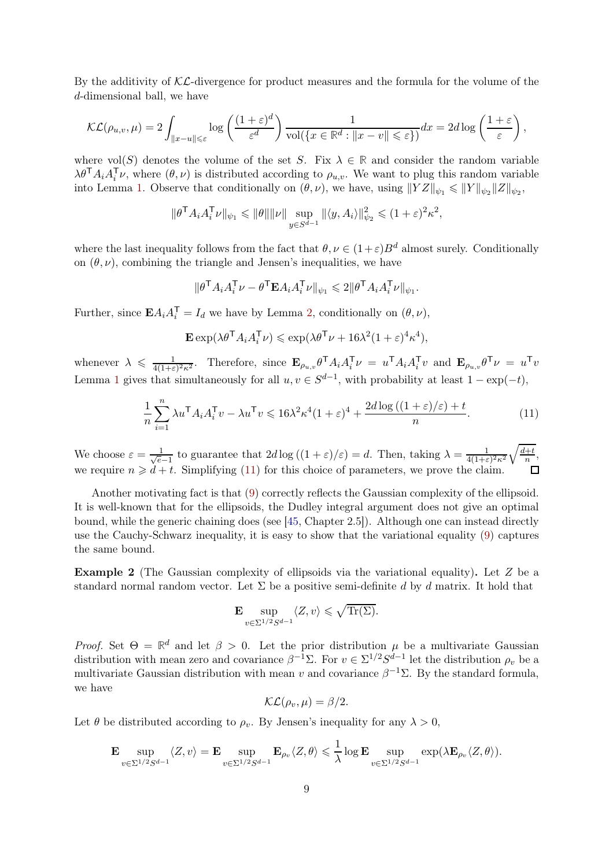By the additivity of  $K\mathcal{L}$ -divergence for product measures and the formula for the volume of the d-dimensional ball, we have

$$
\mathcal{KL}(\rho_{u,v}, \mu) = 2 \int_{\|x-u\| \leqslant \varepsilon} \log \left( \frac{(1+\varepsilon)^d}{\varepsilon^d} \right) \frac{1}{\text{vol}(\{x \in \mathbb{R}^d : \|x-v\| \leqslant \varepsilon\})} dx = 2d \log \left( \frac{1+\varepsilon}{\varepsilon} \right),
$$

where vol(S) denotes the volume of the set S. Fix  $\lambda \in \mathbb{R}$  and consider the random variable  $\lambda \theta^{T} A_i A_i^{T} \nu$ , where  $(\theta, \nu)$  is distributed according to  $\rho_{u,v}$ . We want to plug this random variable into Lemma [1.](#page-5-2) Observe that conditionally on  $(\theta, \nu)$ , we have, using  $||YZ||_{\psi_1} \le ||Y||_{\psi_2} ||Z||_{\psi_2}$ ,

$$
\|\theta^{\mathsf{T}} A_i A_i^{\mathsf{T}} \nu\|_{\psi_1} \leq \|\theta\| \|\nu\| \sup_{y \in S^{d-1}} \|\langle y, A_i \rangle\|_{\psi_2}^2 \leq (1+\varepsilon)^2 \kappa^2,
$$

where the last inequality follows from the fact that  $\theta, \nu \in (1+\varepsilon)B^d$  almost surely. Conditionally on  $(\theta, \nu)$ , combining the triangle and Jensen's inequalities, we have

$$
\|\boldsymbol{\theta}^\mathsf{T}\boldsymbol{A}_i\boldsymbol{A}_i^\mathsf{T}\boldsymbol{\nu}-\boldsymbol{\theta}^\mathsf{T}\mathbf{E}\boldsymbol{A}_i\boldsymbol{A}_i^\mathsf{T}\boldsymbol{\nu}\|_{\psi_1}\leqslant 2\|\boldsymbol{\theta}^\mathsf{T}\boldsymbol{A}_i\boldsymbol{A}_i^\mathsf{T}\boldsymbol{\nu}\|_{\psi_1}
$$

Further, since  $\mathbf{E} A_i A_i^{\mathsf{T}} = I_d$  we have by Lemma [2,](#page-7-1) conditionally on  $(\theta, \nu)$ ,

$$
\mathbf{E} \exp(\lambda \theta^{\mathsf{T}} A_i A_i^{\mathsf{T}} \nu) \leqslant \exp(\lambda \theta^{\mathsf{T}} \nu + 16\lambda^2 (1+\varepsilon)^4 \kappa^4),
$$

whenever  $\lambda \leqslant \frac{1}{4(1+\varepsilon)}$  $\frac{1}{4(1+\varepsilon)^2\kappa^2}$ . Therefore, since  $\mathbf{E}_{\rho_{u,v}}\theta^{\mathsf{T}}A_iA_i^{\mathsf{T}}\nu = u^{\mathsf{T}}A_iA_i^{\mathsf{T}}v$  and  $\mathbf{E}_{\rho_{u,v}}\theta^{\mathsf{T}}\nu = u^{\mathsf{T}}v$ Lemma [1](#page-5-2) gives that simultaneously for all  $u, v \in S^{d-1}$ , with probability at least  $1 - \exp(-t)$ ,

$$
\frac{1}{n}\sum_{i=1}^{n} \lambda u^{\mathsf{T}} A_i A_i^{\mathsf{T}} v - \lambda u^{\mathsf{T}} v \leq 16\lambda^2 \kappa^4 (1+\varepsilon)^4 + \frac{2d\log\left((1+\varepsilon)/\varepsilon\right)+t}{n}.\tag{11}
$$

<span id="page-8-0"></span>.

We choose  $\varepsilon = \frac{1}{\sqrt{e}}$  $\frac{1}{e-1}$  to guarantee that  $2d \log((1+\varepsilon)/\varepsilon) = d$ . Then, taking  $\lambda = \frac{1}{4(1+\varepsilon)}$  $4(1+\varepsilon)^2\kappa^2$  $\sqrt{d+t}$  $\frac{+t}{n}$ , we require  $n \ge d + t$ . Simplifying [\(11\)](#page-8-0) for this choice of parameters, we prove the claim.

Another motivating fact is that [\(9\)](#page-5-1) correctly reflects the Gaussian complexity of the ellipsoid. It is well-known that for the ellipsoids, the Dudley integral argument does not give an optimal bound, while the generic chaining does (see [\[45,](#page-27-7) Chapter 2.5]). Although one can instead directly use the Cauchy-Schwarz inequality, it is easy to show that the variational equality [\(9\)](#page-5-1) captures the same bound.

<span id="page-8-1"></span>Example 2 (The Gaussian complexity of ellipsoids via the variational equality). Let Z be a standard normal random vector. Let  $\Sigma$  be a positive semi-definite d by d matrix. It hold that

$$
\mathbf{E} \sup_{v \in \Sigma^{1/2} S^{d-1}} \langle Z, v \rangle \leqslant \sqrt{\text{Tr}(\Sigma)}.
$$

Proof. Set  $\Theta = \mathbb{R}^d$  and let  $\beta > 0$ . Let the prior distribution  $\mu$  be a multivariate Gaussian distribution with mean zero and covariance  $\beta^{-1}\Sigma$ . For  $v \in \Sigma^{1/2}S^{d-1}$  let the distribution  $\rho_v$  be a multivariate Gaussian distribution with mean v and covariance  $\beta^{-1}\Sigma$ . By the standard formula, we have

$$
\mathcal{KL}(\rho_v, \mu) = \beta/2.
$$

Let  $\theta$  be distributed according to  $\rho_n$ . By Jensen's inequality for any  $\lambda > 0$ ,

$$
\mathbf{E} \sup_{v \in \Sigma^{1/2} S^{d-1}} \langle Z, v \rangle = \mathbf{E} \sup_{v \in \Sigma^{1/2} S^{d-1}} \mathbf{E}_{\rho_v} \langle Z, \theta \rangle \leq \frac{1}{\lambda} \log \mathbf{E} \sup_{v \in \Sigma^{1/2} S^{d-1}} \exp(\lambda \mathbf{E}_{\rho_v} \langle Z, \theta \rangle).
$$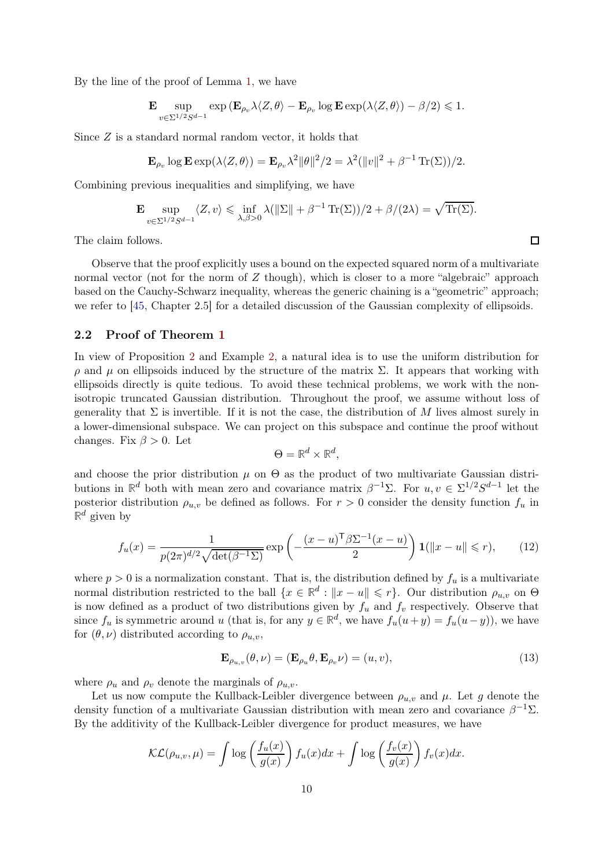By the line of the proof of Lemma [1,](#page-5-2) we have

$$
\mathbf{E} \sup_{v \in \Sigma^{1/2} S^{d-1}} \exp \left( \mathbf{E}_{\rho_v} \lambda \langle Z, \theta \rangle - \mathbf{E}_{\rho_v} \log \mathbf{E} \exp(\lambda \langle Z, \theta \rangle) - \beta/2 \right) \leq 1.
$$

Since Z is a standard normal random vector, it holds that

$$
\mathbf{E}_{\rho_v} \log \mathbf{E} \exp(\lambda \langle Z, \theta \rangle) = \mathbf{E}_{\rho_v} \lambda^2 ||\theta||^2 / 2 = \lambda^2 (||v||^2 + \beta^{-1} \operatorname{Tr}(\Sigma))/2.
$$

Combining previous inequalities and simplifying, we have

E sup  $v \in \Sigma^{1/2} S^{d-1}$  $\langle Z, v \rangle \leqslant \inf_{\lambda, \beta > 0} \lambda(\|\Sigma\| + \beta^{-1} \operatorname{Tr}(\Sigma))/2 + \beta/(2\lambda) = \sqrt{\operatorname{Tr}(\Sigma)}.$ 

The claim follows.

Observe that the proof explicitly uses a bound on the expected squared norm of a multivariate normal vector (not for the norm of  $Z$  though), which is closer to a more "algebraic" approach based on the Cauchy-Schwarz inequality, whereas the generic chaining is a "geometric" approach; we refer to [\[45,](#page-27-7) Chapter 2.5] for a detailed discussion of the Gaussian complexity of ellipsoids.

#### 2.2 Proof of Theorem [1](#page-1-3)

In view of Proposition [2](#page-7-0) and Example [2,](#page-8-1) a natural idea is to use the uniform distribution for  $ρ$  and  $μ$  on ellipsoids induced by the structure of the matrix  $Σ$ . It appears that working with ellipsoids directly is quite tedious. To avoid these technical problems, we work with the nonisotropic truncated Gaussian distribution. Throughout the proof, we assume without loss of generality that  $\Sigma$  is invertible. If it is not the case, the distribution of M lives almost surely in a lower-dimensional subspace. We can project on this subspace and continue the proof without changes. Fix  $\beta > 0$ . Let

<span id="page-9-0"></span>
$$
\Theta = \mathbb{R}^d \times \mathbb{R}^d,
$$

and choose the prior distribution  $\mu$  on  $\Theta$  as the product of two multivariate Gaussian distributions in  $\mathbb{R}^d$  both with mean zero and covariance matrix  $\beta^{-1}\Sigma$ . For  $u, v \in \Sigma^{1/2}S^{d-1}$  let the posterior distribution  $\rho_{u,v}$  be defined as follows. For  $r > 0$  consider the density function  $f_u$  in  $\mathbb{R}^d$  given by

$$
f_u(x) = \frac{1}{p(2\pi)^{d/2}\sqrt{\det(\beta^{-1}\Sigma)}} \exp\left(-\frac{(x-u)^{\mathsf{T}}\beta\Sigma^{-1}(x-u)}{2}\right) \mathbf{1}(\|x-u\| \leq r),\qquad(12)
$$

where  $p > 0$  is a normalization constant. That is, the distribution defined by  $f_u$  is a multivariate normal distribution restricted to the ball  $\{x \in \mathbb{R}^d : ||x - u|| \leq r\}$ . Our distribution  $\rho_{u,v}$  on  $\Theta$ is now defined as a product of two distributions given by  $f_u$  and  $f_v$  respectively. Observe that since  $f_u$  is symmetric around u (that is, for any  $y \in \mathbb{R}^d$ , we have  $f_u(u+y) = f_u(u-y)$ ), we have for  $(\theta, \nu)$  distributed according to  $\rho_{u,v}$ ,

<span id="page-9-1"></span>
$$
\mathbf{E}_{\rho_{u,v}}(\theta,\nu) = (\mathbf{E}_{\rho_u}\theta, \mathbf{E}_{\rho_v}\nu) = (u,v),\tag{13}
$$

where  $\rho_u$  and  $\rho_v$  denote the marginals of  $\rho_{u,v}$ .

Let us now compute the Kullback-Leibler divergence between  $\rho_{u,v}$  and  $\mu$ . Let g denote the density function of a multivariate Gaussian distribution with mean zero and covariance  $\beta^{-1}\Sigma$ . By the additivity of the Kullback-Leibler divergence for product measures, we have

$$
\mathcal{KL}(\rho_{u,v}, \mu) = \int \log \left( \frac{f_u(x)}{g(x)} \right) f_u(x) dx + \int \log \left( \frac{f_v(x)}{g(x)} \right) f_v(x) dx.
$$

 $\Box$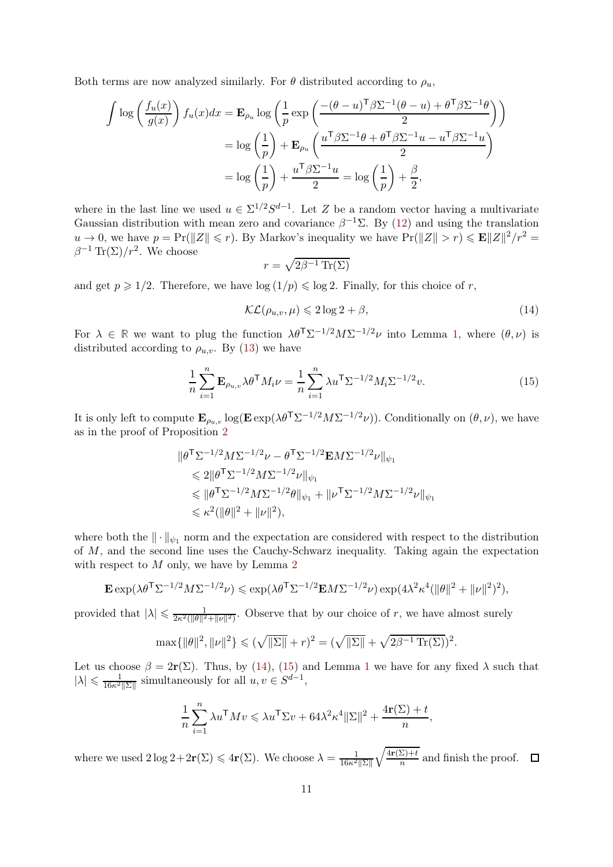Both terms are now analyzed similarly. For  $\theta$  distributed according to  $\rho_u$ ,

$$
\int \log \left( \frac{f_u(x)}{g(x)} \right) f_u(x) dx = \mathbf{E}_{\rho_u} \log \left( \frac{1}{p} \exp \left( \frac{-(\theta - u)^{\mathsf{T}} \beta \Sigma^{-1} (\theta - u) + \theta^{\mathsf{T}} \beta \Sigma^{-1} \theta}{2} \right) \right)
$$

$$
= \log \left( \frac{1}{p} \right) + \mathbf{E}_{\rho_u} \left( \frac{u^{\mathsf{T}} \beta \Sigma^{-1} \theta + \theta^{\mathsf{T}} \beta \Sigma^{-1} u - u^{\mathsf{T}} \beta \Sigma^{-1} u}{2} \right)
$$

$$
= \log \left( \frac{1}{p} \right) + \frac{u^{\mathsf{T}} \beta \Sigma^{-1} u}{2} = \log \left( \frac{1}{p} \right) + \frac{\beta}{2},
$$

where in the last line we used  $u \in \Sigma^{1/2}S^{d-1}$ . Let Z be a random vector having a multivariate Gaussian distribution with mean zero and covariance  $\beta^{-1}\Sigma$ . By [\(12\)](#page-9-0) and using the translation  $u \to 0$ , we have  $p = Pr(||Z|| \le r)$ . By Markov's inequality we have  $Pr(||Z|| > r) \le E||Z||^2/r^2 =$  $\beta^{-1} \text{Tr}(\Sigma)/r^2$ . We choose

<span id="page-10-1"></span><span id="page-10-0"></span>
$$
r = \sqrt{2\beta^{-1}\operatorname{Tr}(\Sigma)}
$$

and get  $p \geq 1/2$ . Therefore, we have  $\log(1/p) \leq \log 2$ . Finally, for this choice of r,

$$
\mathcal{KL}(\rho_{u,v}, \mu) \leq 2\log 2 + \beta,\tag{14}
$$

,

For  $\lambda \in \mathbb{R}$  we want to plug the function  $\lambda \theta^T \Sigma^{-1/2} M \Sigma^{-1/2} \nu$  into Lemma [1,](#page-5-2) where  $(\theta, \nu)$  is distributed according to  $\rho_{u,v}$ . By [\(13\)](#page-9-1) we have

$$
\frac{1}{n}\sum_{i=1}^{n}\mathbf{E}_{\rho_{u,v}}\lambda\theta^{\mathsf{T}}M_{i}\nu = \frac{1}{n}\sum_{i=1}^{n}\lambda u^{\mathsf{T}}\Sigma^{-1/2}M_{i}\Sigma^{-1/2}v.
$$
\n(15)

It is only left to compute  $\mathbf{E}_{\rho_{u,v}} \log(\mathbf{E} \exp(\lambda \theta^{\mathsf{T}} \Sigma^{-1/2} M \Sigma^{-1/2} \nu))$ . Conditionally on  $(\theta, \nu)$ , we have as in the proof of Proposition [2](#page-7-0)

$$
\|\theta^{\mathsf{T}}\Sigma^{-1/2}M\Sigma^{-1/2}\nu - \theta^{\mathsf{T}}\Sigma^{-1/2}\mathbf{E}M\Sigma^{-1/2}\nu\|_{\psi_1} \n\leq 2\|\theta^{\mathsf{T}}\Sigma^{-1/2}M\Sigma^{-1/2}\nu\|_{\psi_1} \n\leq \|\theta^{\mathsf{T}}\Sigma^{-1/2}M\Sigma^{-1/2}\theta\|_{\psi_1} + \|\nu^{\mathsf{T}}\Sigma^{-1/2}M\Sigma^{-1/2}\nu\|_{\psi_1} \n\leq \kappa^2(\|\theta\|^2 + \|\nu\|^2),
$$

where both the  $\|\cdot\|_{\psi_1}$  norm and the expectation are considered with respect to the distribution of M, and the second line uses the Cauchy-Schwarz inequality. Taking again the expectation with respect to  $M$  only, we have by Lemma  $2$ 

$$
\mathbf{E} \exp(\lambda \theta^{\mathsf{T}} \Sigma^{-1/2} M \Sigma^{-1/2} \nu) \leqslant \exp(\lambda \theta^{\mathsf{T}} \Sigma^{-1/2} \mathbf{E} M \Sigma^{-1/2} \nu) \exp(4\lambda^2 \kappa^4 (\|\theta\|^2 + \|\nu\|^2)^2),
$$

provided that  $|\lambda| \leq \frac{1}{2\kappa^2(\|\theta\|^2 + \|\nu\|^2)}$ . Observe that by our choice of r, we have almost surely

$$
\max\{\|\theta\|^2, \|\nu\|^2\} \le (\sqrt{\|\Sigma\|} + r)^2 = (\sqrt{\|\Sigma\|} + \sqrt{2\beta^{-1}\operatorname{Tr}(\Sigma)})^2.
$$

Let us choose  $\beta = 2r(\Sigma)$ . Thus, by [\(14\)](#page-10-0), [\(15\)](#page-10-1) and Lemma [1](#page-5-2) we have for any fixed  $\lambda$  such that  $|\lambda| \leq \frac{1}{16\kappa^2 ||\Sigma||}$  simultaneously for all  $u, v \in S^{d-1}$ ,

$$
\frac{1}{n}\sum_{i=1}^{n} \lambda u^{\mathsf{T}} M v \leq \lambda u^{\mathsf{T}} \Sigma v + 64\lambda^2 \kappa^4 ||\Sigma||^2 + \frac{4\mathbf{r}(\Sigma) + t}{n}
$$

where we used  $2 \log 2 + 2r(\Sigma) \le 4r(\Sigma)$ . We choose  $\lambda = \frac{1}{16\kappa^2 ||\Sigma||}$  $\sqrt{4r(\Sigma)+t}$  $\frac{\Delta f + t}{n}$  and finish the proof.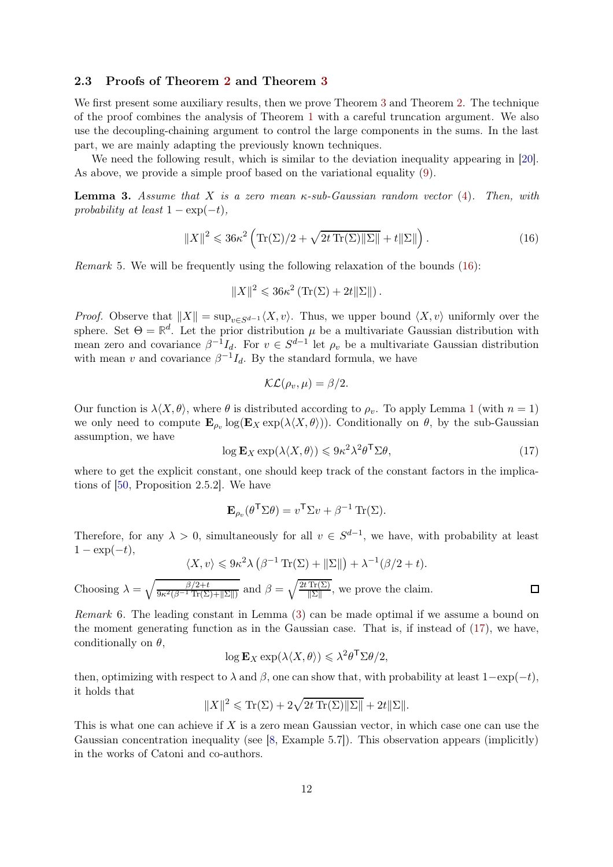## 2.3 Proofs of Theorem [2](#page-4-0) and Theorem [3](#page-4-1)

We first present some auxiliary results, then we prove Theorem [3](#page-4-1) and Theorem [2.](#page-4-0) The technique of the proof combines the analysis of Theorem [1](#page-1-3) with a careful truncation argument. We also use the decoupling-chaining argument to control the large components in the sums. In the last part, we are mainly adapting the previously known techniques.

We need the following result, which is similar to the deviation inequality appearing in [\[20\]](#page-26-12). As above, we provide a simple proof based on the variational equality [\(9\)](#page-5-1).

<span id="page-11-1"></span>**Lemma 3.** Assume that X is a zero mean  $\kappa$ -sub-Gaussian random vector [\(4\)](#page-2-3). Then, with probability at least  $1 - \exp(-t)$ ,

$$
||X||^2 \leq 36\kappa^2 \left( \text{Tr}(\Sigma)/2 + \sqrt{2t \text{Tr}(\Sigma) ||\Sigma||} + t ||\Sigma|| \right). \tag{16}
$$

*Remark* 5. We will be frequently using the following relaxation of the bounds  $(16)$ :

<span id="page-11-0"></span>
$$
||X||^2 \leq 36\kappa^2 \left( \text{Tr}(\Sigma) + 2t ||\Sigma|| \right).
$$

*Proof.* Observe that  $||X|| = \sup_{v \in S^{d-1}} \langle X, v \rangle$ . Thus, we upper bound  $\langle X, v \rangle$  uniformly over the sphere. Set  $\Theta = \mathbb{R}^d$ . Let the prior distribution  $\mu$  be a multivariate Gaussian distribution with mean zero and covariance  $\beta^{-1}I_d$ . For  $v \in S^{d-1}$  let  $\rho_v$  be a multivariate Gaussian distribution with mean v and covariance  $\beta^{-1}I_d$ . By the standard formula, we have

<span id="page-11-2"></span>
$$
\mathcal{KL}(\rho_v, \mu) = \beta/2.
$$

Our function is  $\lambda \langle X, \theta \rangle$ , where  $\theta$  is distributed according to  $\rho_v$ . To apply Lemma [1](#page-5-2) (with  $n = 1$ ) we only need to compute  $\mathbf{E}_{\rho_v}$   $\log(\mathbf{E}_X \exp(\lambda \langle X, \theta \rangle))$ . Conditionally on  $\theta$ , by the sub-Gaussian assumption, we have

$$
\log \mathbf{E}_X \exp(\lambda \langle X, \theta \rangle) \leqslant 9\kappa^2 \lambda^2 \theta^{\mathsf{T}} \Sigma \theta,\tag{17}
$$

where to get the explicit constant, one should keep track of the constant factors in the implications of [\[50,](#page-27-0) Proposition 2.5.2]. We have

$$
\mathbf{E}_{\rho_v}(\theta^\mathsf{T} \Sigma \theta) = v^\mathsf{T} \Sigma v + \beta^{-1} \operatorname{Tr}(\Sigma).
$$

Therefore, for any  $\lambda > 0$ , simultaneously for all  $v \in S^{d-1}$ , we have, with probability at least  $1 - \exp(-t)$ ,

$$
\langle X, v \rangle \leqslant 9\kappa^2 \lambda \left(\beta^{-1} \operatorname{Tr}(\Sigma) + \|\Sigma\|\right) + \lambda^{-1} (\beta/2 + t).
$$
  
Choosing  $\lambda = \sqrt{\frac{\beta/2 + t}{9\kappa^2(\beta - 1 \operatorname{Tr}(\Sigma) + \|\Sigma\|)} }$  and  $\beta = \sqrt{\frac{2t \operatorname{Tr}(\Sigma)}{||\Sigma||}}$ , we prove the claim.

Remark 6. The leading constant in Lemma [\(3\)](#page-11-1) can be made optimal if we assume a bound on the moment generating function as in the Gaussian case. That is, if instead of [\(17\)](#page-11-2), we have, conditionally on  $\theta$ ,

$$
\log \mathbf{E}_X \exp(\lambda \langle X, \theta \rangle) \leqslant \lambda^2 \theta^{\mathsf{T}} \Sigma \theta/2,
$$

then, optimizing with respect to  $\lambda$  and  $\beta$ , one can show that, with probability at least  $1-\exp(-t)$ , it holds that

$$
||X||^2 \le \text{Tr}(\Sigma) + 2\sqrt{2t \text{Tr}(\Sigma) ||\Sigma||} + 2t ||\Sigma||.
$$

This is what one can achieve if  $X$  is a zero mean Gaussian vector, in which case one can use the Gaussian concentration inequality (see [\[8,](#page-25-4) Example 5.7]). This observation appears (implicitly) in the works of Catoni and co-authors.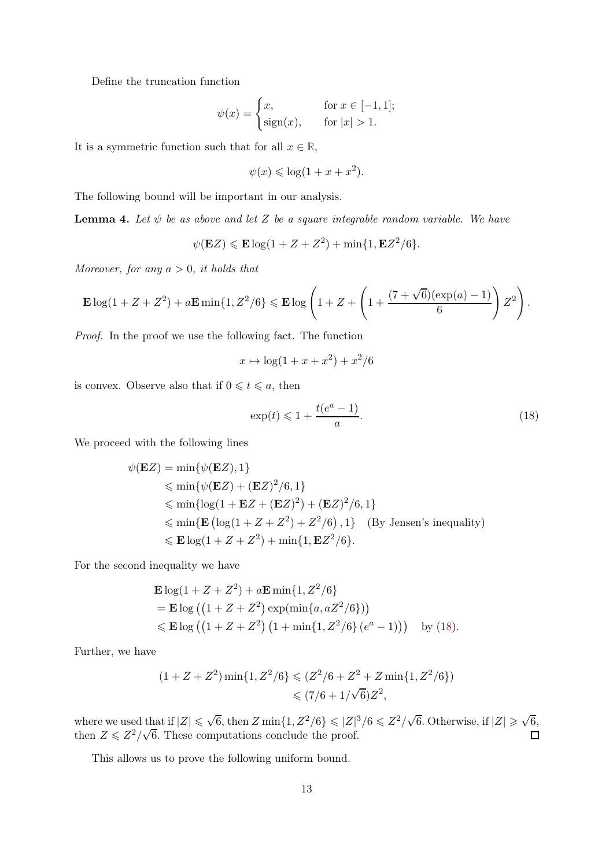Define the truncation function

$$
\psi(x) = \begin{cases} x, & \text{for } x \in [-1, 1]; \\ \text{sign}(x), & \text{for } |x| > 1. \end{cases}
$$

It is a symmetric function such that for all  $x \in \mathbb{R}$ ,

$$
\psi(x) \leq \log(1 + x + x^2).
$$

The following bound will be important in our analysis.

<span id="page-12-1"></span>**Lemma 4.** Let  $\psi$  be as above and let Z be a square integrable random variable. We have

$$
\psi(\mathbf{E}Z) \leqslant \mathbf{E}\log(1+Z+Z^2) + \min\{1, \mathbf{E}Z^2/6\}.
$$

Moreover, for any  $a > 0$ , it holds that

$$
\mathbf{E}\log(1+Z+Z^2) + a\mathbf{E}\min\{1, Z^2/6\} \leqslant \mathbf{E}\log\left(1+Z+\left(1+\frac{(7+\sqrt{6})(\exp(a)-1)}{6}\right)Z^2\right).
$$

Proof. In the proof we use the following fact. The function

$$
x \mapsto \log(1 + x + x^2) + x^2/6
$$

is convex. Observe also that if  $0 \leq t \leq a$ , then

<span id="page-12-0"></span>
$$
\exp(t) \leq 1 + \frac{t(e^a - 1)}{a}.\tag{18}
$$

We proceed with the following lines

$$
\psi(\mathbf{E}Z) = \min{\psi(\mathbf{E}Z), 1}
$$
  
\$\leqslant \min{\psi(\mathbf{E}Z) + (\mathbf{E}Z)^2/6, 1}\$  
\$\leqslant \min{\log(1 + \mathbf{E}Z + (\mathbf{E}Z)^2) + (\mathbf{E}Z)^2/6, 1}\$  
\$\leqslant \min{\mathbf{E} (\log(1 + Z + Z^2) + Z^2/6), 1} \text{ (By Jensen's inequality)}  
\$\leqslant \mathbf{E} \log(1 + Z + Z^2) + \min{1, \mathbf{E}Z^2/6}.

For the second inequality we have

$$
\mathbf{E} \log(1 + Z + Z^2) + a \mathbf{E} \min\{1, Z^2/6\}
$$
  
=  $\mathbf{E} \log ((1 + Z + Z^2) \exp(\min\{a, aZ^2/6\}))$   
 $\leq \mathbf{E} \log ((1 + Z + Z^2) (1 + \min\{1, Z^2/6\} (e^a - 1)))$  by (18).

Further, we have

$$
(1 + Z + Z2) \min\{1, Z2/6\} \le (Z2/6 + Z2 + Z \min\{1, Z2/6\})
$$
  

$$
\le (7/6 + 1/\sqrt{6})Z2,
$$

where we used that if  $|Z| \leq \sqrt{6}$ , then  $Z \min\{1, Z^2/6\} \leqslant |Z|^3/6 \leqslant Z^2/\sqrt{6}$ . Otherwise, if  $|Z| \geqslant \sqrt{6}$ , then  $Z \leq Z^2/\sqrt{6}$ . These computations conclude the proof.  $\Box$ 

This allows us to prove the following uniform bound.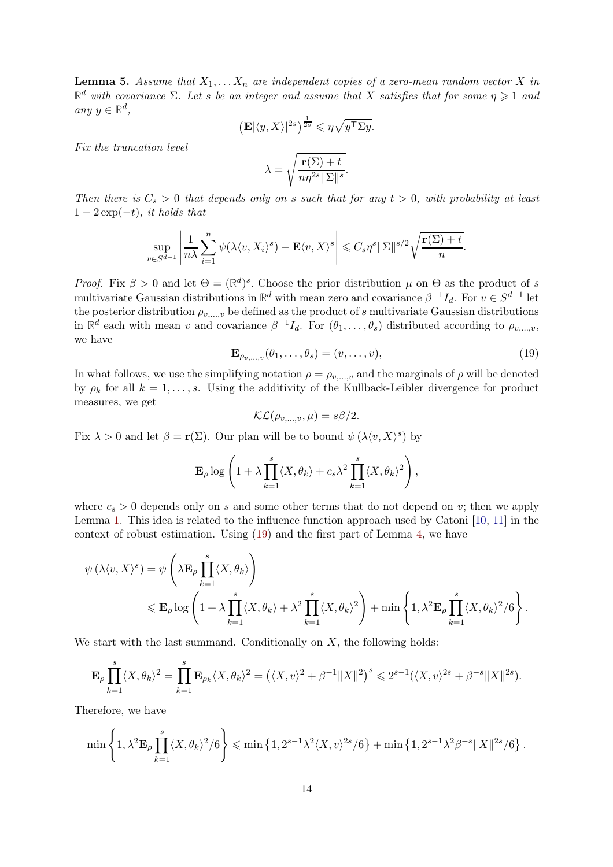<span id="page-13-1"></span>**Lemma 5.** Assume that  $X_1, \ldots, X_n$  are independent copies of a zero-mean random vector X in  $\mathbb{R}^d$  with covariance  $\Sigma$ . Let s be an integer and assume that X satisfies that for some  $\eta \geqslant 1$  and any  $y \in \mathbb{R}^d$ ,

$$
\left(\mathbf{E}|\langle y, X\rangle|^{2s}\right)^{\frac{1}{2s}} \leqslant \eta \sqrt{y^{\mathsf{T}} \Sigma y}.
$$

Fix the truncation level

$$
\lambda = \sqrt{\frac{\mathbf{r}(\Sigma) + t}{n\eta^{2s} \|\Sigma\|^s}}.
$$

Then there is  $C_s > 0$  that depends only on s such that for any  $t > 0$ , with probability at least  $1-2\exp(-t)$ , it holds that

$$
\sup_{v \in S^{d-1}} \left| \frac{1}{n\lambda} \sum_{i=1}^n \psi(\lambda \langle v, X_i \rangle^s) - \mathbf{E} \langle v, X \rangle^s \right| \leqslant C_s \eta^s ||\Sigma||^{s/2} \sqrt{\frac{\mathbf{r}(\Sigma) + t}{n}}.
$$

*Proof.* Fix  $\beta > 0$  and let  $\Theta = (\mathbb{R}^d)^s$ . Choose the prior distribution  $\mu$  on  $\Theta$  as the product of s multivariate Gaussian distributions in  $\mathbb{R}^d$  with mean zero and covariance  $\beta^{-1}I_d$ . For  $v \in S^{d-1}$  let the posterior distribution  $\rho_{v,\dots,v}$  be defined as the product of s multivariate Gaussian distributions in  $\mathbb{R}^d$  each with mean v and covariance  $\beta^{-1}I_d$ . For  $(\theta_1,\ldots,\theta_s)$  distributed according to  $\rho_{v,\ldots,v}$ , we have

$$
\mathbf{E}_{\rho_{v,\ldots,v}}(\theta_1,\ldots,\theta_s) = (v,\ldots,v),\tag{19}
$$

In what follows, we use the simplifying notation  $\rho = \rho_{v,\dots,v}$  and the marginals of  $\rho$  will be denoted by  $\rho_k$  for all  $k = 1, \ldots, s$ . Using the additivity of the Kullback-Leibler divergence for product measures, we get

<span id="page-13-0"></span>
$$
\mathcal{KL}(\rho_{v,\ldots,v}, \mu) = s\beta/2.
$$

Fix  $\lambda > 0$  and let  $\beta = \mathbf{r}(\Sigma)$ . Our plan will be to bound  $\psi(\lambda \langle v, X \rangle^s)$  by

$$
\mathbf{E}_{\rho} \log \left( 1 + \lambda \prod_{k=1}^{s} \langle X, \theta_k \rangle + c_s \lambda^2 \prod_{k=1}^{s} \langle X, \theta_k \rangle^2 \right),
$$

where  $c_s > 0$  depends only on s and some other terms that do not depend on v; then we apply Lemma [1.](#page-5-2) This idea is related to the influence function approach used by Catoni [\[10,](#page-25-9) [11\]](#page-25-6) in the context of robust estimation. Using [\(19\)](#page-13-0) and the first part of Lemma [4,](#page-12-1) we have

$$
\psi(\lambda \langle v, X \rangle^s) = \psi \left( \lambda \mathbf{E}_{\rho} \prod_{k=1}^s \langle X, \theta_k \rangle \right)
$$
  
\$\leqslant \mathbf{E}\_{\rho} \log \left( 1 + \lambda \prod\_{k=1}^s \langle X, \theta\_k \rangle + \lambda^2 \prod\_{k=1}^s \langle X, \theta\_k \rangle^2 \right) + \min \left\{ 1, \lambda^2 \mathbf{E}\_{\rho} \prod\_{k=1}^s \langle X, \theta\_k \rangle^2 / 6 \right\}.

We start with the last summand. Conditionally on  $X$ , the following holds:

$$
\mathbf{E}_{\rho} \prod_{k=1}^{s} \langle X, \theta_k \rangle^2 = \prod_{k=1}^{s} \mathbf{E}_{\rho_k} \langle X, \theta_k \rangle^2 = \left( \langle X, v \rangle^2 + \beta^{-1} \|X\|^2 \right)^s \leqslant 2^{s-1} (\langle X, v \rangle^{2s} + \beta^{-s} \|X\|^{2s}).
$$

Therefore, we have

$$
\min\left\{1,\lambda^2{\bf E}_\rho\prod_{k=1}^s\langle X,\theta_k\rangle^2/6\right\}\leqslant\min\left\{1,2^{s-1}\lambda^2\langle X,v\rangle^{2s}/6\right\}+\min\left\{1,2^{s-1}\lambda^2\beta^{-s}\|X\|^{2s}/6\right\}.
$$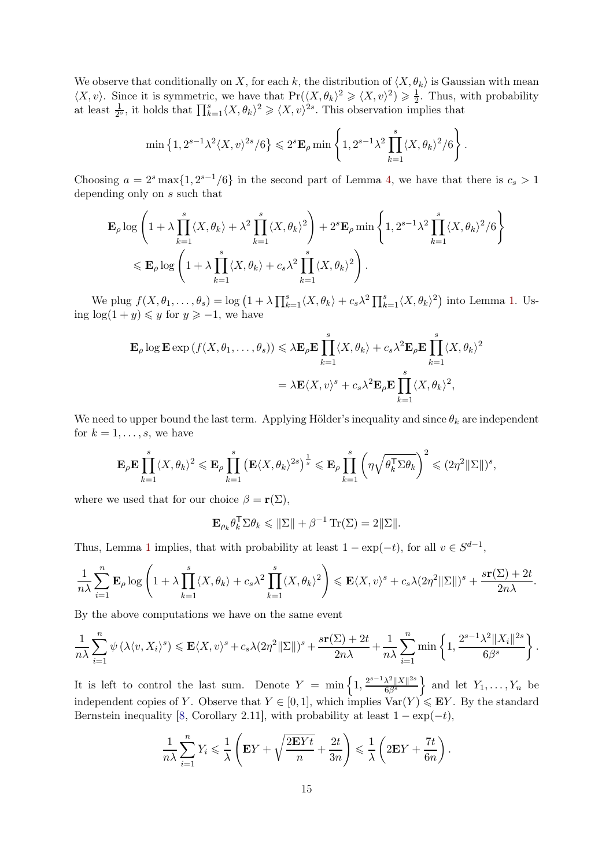We observe that conditionally on X, for each k, the distribution of  $\langle X, \theta_k \rangle$  is Gaussian with mean  $\langle X, v \rangle$ . Since it is symmetric, we have that  $\Pr(\langle X, \theta_k \rangle^2 \geq \langle X, v \rangle^2) \geq \frac{1}{2}$  $\frac{1}{2}$ . Thus, with probability at least  $\frac{1}{2^s}$ , it holds that  $\prod_{k=1}^s \langle X, \theta_k \rangle^2 \geq \langle X, v \rangle^{2s}$ . This observation implies that

$$
\min\left\{1,2^{s-1}\lambda^2\langle X,v\rangle^{2s}/6\right\}\leqslant 2^s\mathbf{E}_{\rho}\min\left\{1,2^{s-1}\lambda^2\prod_{k=1}^s\langle X,\theta_k\rangle^2/6\right\}.
$$

Choosing  $a = 2^s \max\{1, 2^{s-1}/6\}$  in the second part of Lemma [4,](#page-12-1) we have that there is  $c_s > 1$ depending only on s such that

$$
\mathbf{E}_{\rho} \log \left( 1 + \lambda \prod_{k=1}^{s} \langle X, \theta_{k} \rangle + \lambda^{2} \prod_{k=1}^{s} \langle X, \theta_{k} \rangle^{2} \right) + 2^{s} \mathbf{E}_{\rho} \min \left\{ 1, 2^{s-1} \lambda^{2} \prod_{k=1}^{s} \langle X, \theta_{k} \rangle^{2} / 6 \right\}
$$
  

$$
\leq \mathbf{E}_{\rho} \log \left( 1 + \lambda \prod_{k=1}^{s} \langle X, \theta_{k} \rangle + c_{s} \lambda^{2} \prod_{k=1}^{s} \langle X, \theta_{k} \rangle^{2} \right).
$$

We plug  $f(X, \theta_1, ..., \theta_s) = \log (1 + \lambda \prod_{k=1}^s \langle X, \theta_k \rangle + c_s \lambda^2 \prod_{k=1}^s \langle X, \theta_k \rangle^2)$  into Lemma [1.](#page-5-2) Using  $\log(1 + y) \leq y$  for  $y \geq -1$ , we have

$$
\mathbf{E}_{\rho} \log \mathbf{E} \exp \left( f(X, \theta_1, \dots, \theta_s) \right) \leq \lambda \mathbf{E}_{\rho} \mathbf{E} \prod_{k=1}^s \langle X, \theta_k \rangle + c_s \lambda^2 \mathbf{E}_{\rho} \mathbf{E} \prod_{k=1}^s \langle X, \theta_k \rangle^2
$$

$$
= \lambda \mathbf{E} \langle X, v \rangle^s + c_s \lambda^2 \mathbf{E}_{\rho} \mathbf{E} \prod_{k=1}^s \langle X, \theta_k \rangle^2,
$$

We need to upper bound the last term. Applying Hölder's inequality and since  $\theta_k$  are independent for  $k = 1, \ldots, s$ , we have

$$
\mathbf{E}_{\rho} \mathbf{E} \prod_{k=1}^{s} \langle X, \theta_k \rangle^2 \leqslant \mathbf{E}_{\rho} \prod_{k=1}^{s} \left( \mathbf{E} \langle X, \theta_k \rangle^{2s} \right)^{\frac{1}{s}} \leqslant \mathbf{E}_{\rho} \prod_{k=1}^{s} \left( \eta \sqrt{\theta_k^{\mathsf{T}} \Sigma \theta_k} \right)^2 \leqslant (2\eta^2 \|\Sigma\|)^s,
$$

where we used that for our choice  $\beta = \mathbf{r}(\Sigma)$ ,

$$
\mathbf{E}_{\rho_k} \theta_k^{\mathsf{T}} \Sigma \theta_k \leq \|\Sigma\| + \beta^{-1} \operatorname{Tr}(\Sigma) = 2\|\Sigma\|.
$$

Thus, Lemma [1](#page-5-2) implies, that with probability at least  $1 - \exp(-t)$ , for all  $v \in S^{d-1}$ ,

$$
\frac{1}{n\lambda}\sum_{i=1}^n \mathbf{E}_{\rho}\log\left(1+\lambda\prod_{k=1}^s\langle X,\theta_k\rangle+c_s\lambda^2\prod_{k=1}^s\langle X,\theta_k\rangle^2\right)\leqslant \mathbf{E}\langle X,v\rangle^s+c_s\lambda(2\eta^2\|\Sigma\|)^s+\frac{s\mathbf{r}(\Sigma)+2t}{2n\lambda}.
$$

By the above computations we have on the same event

$$
\frac{1}{n\lambda}\sum_{i=1}^n\psi(\lambda\langle v, X_i\rangle^s) \leqslant \mathbf{E}\langle X, v\rangle^s + c_s\lambda(2\eta^2\|\Sigma\|)^s + \frac{s\mathbf{r}(\Sigma) + 2t}{2n\lambda} + \frac{1}{n\lambda}\sum_{i=1}^n\min\left\{1, \frac{2^{s-1}\lambda^2\|X_i\|^{2s}}{6\beta^s}\right\}.
$$

It is left to control the last sum. Denote  $Y = \min\left\{1, \frac{2^{s-1}\lambda^2||X||^{2s}}{6\beta^s}\right\}$  $6\beta^s$ } and let  $Y_1, \ldots, Y_n$  be independent copies of Y. Observe that  $Y \in [0, 1]$ , which implies  $\text{Var}(Y) \leqslant EY$ . By the standard Bernstein inequality [\[8,](#page-25-4) Corollary 2.11], with probability at least  $1 - \exp(-t)$ ,

$$
\frac{1}{n\lambda}\sum_{i=1}^n Y_i \leq \frac{1}{\lambda}\left(\mathbf{E}Y + \sqrt{\frac{2\mathbf{E}Yt}{n}} + \frac{2t}{3n}\right) \leq \frac{1}{\lambda}\left(2\mathbf{E}Y + \frac{7t}{6n}\right).
$$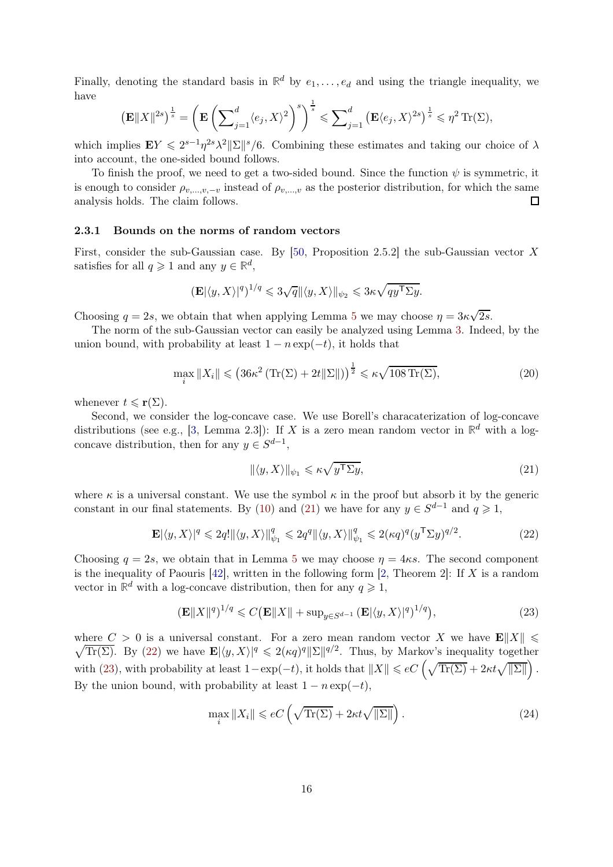Finally, denoting the standard basis in  $\mathbb{R}^d$  by  $e_1, \ldots, e_d$  and using the triangle inequality, we have

$$
\left(\mathbf{E}\|X\|^{2s}\right)^{\frac{1}{s}} = \left(\mathbf{E}\left(\sum_{j=1}^d \langle e_j, X\rangle^2\right)^s\right)^{\frac{1}{s}} \leqslant \sum_{j=1}^d \left(\mathbf{E}\langle e_j, X\rangle^{2s}\right)^{\frac{1}{s}} \leqslant \eta^2 \operatorname{Tr}(\Sigma),
$$

which implies  $EY \leq 2^{s-1}\eta^{2s}\lambda^2 ||\Sigma||^s/6$ . Combining these estimates and taking our choice of  $\lambda$ into account, the one-sided bound follows.

To finish the proof, we need to get a two-sided bound. Since the function  $\psi$  is symmetric, it is enough to consider  $\rho_{v,\dots,v,-v}$  instead of  $\rho_{v,\dots,v}$  as the posterior distribution, for which the same analysis holds. The claim follows. analysis holds. The claim follows.

#### 2.3.1 Bounds on the norms of random vectors

First, consider the sub-Gaussian case. By [\[50,](#page-27-0) Proposition 2.5.2] the sub-Gaussian vector X satisfies for all  $q \geq 1$  and any  $y \in \mathbb{R}^d$ ,

$$
\left(\mathbf{E}|\langle y, X\rangle|^q\right)^{1/q} \leqslant 3\sqrt{q} \|\langle y, X\rangle\|_{\psi_2} \leqslant 3\kappa \sqrt{q y^{\mathsf{T}} \Sigma y}.
$$

Choosing  $q = 2s$ , we obtain that when applying Lemma [5](#page-13-1) we may choose  $\eta = 3\kappa\sqrt{2s}$ .

The norm of the sub-Gaussian vector can easily be analyzed using Lemma [3.](#page-11-1) Indeed, by the union bound, with probability at least  $1 - n \exp(-t)$ , it holds that

$$
\max_{i} \|X_{i}\| \leqslant \left(36\kappa^2 \left( \text{Tr}(\Sigma) + 2t \|\Sigma\|\right) \right)^{\frac{1}{2}} \leqslant \kappa \sqrt{108 \text{Tr}(\Sigma)},\tag{20}
$$

whenever  $t \leqslant \mathbf{r}(\Sigma)$ .

Second, we consider the log-concave case. We use Borell's characaterization of log-concave distributions (see e.g., [\[3,](#page-25-3) Lemma 2.3]): If X is a zero mean random vector in  $\mathbb{R}^d$  with a logconcave distribution, then for any  $y \in S^{d-1}$ ,

<span id="page-15-4"></span><span id="page-15-2"></span><span id="page-15-1"></span><span id="page-15-0"></span>
$$
\|\langle y, X \rangle\|_{\psi_1} \leq \kappa \sqrt{y^{\mathsf{T}} \Sigma y},\tag{21}
$$

where  $\kappa$  is a universal constant. We use the symbol  $\kappa$  in the proof but absorb it by the generic constant in our final statements. By [\(10\)](#page-7-2) and [\(21\)](#page-15-0) we have for any  $y \in S^{d-1}$  and  $q \geq 1$ ,

$$
\mathbf{E}|\langle y, X\rangle|^q \leq 2q! \|\langle y, X\rangle\|_{\psi_1}^q \leq 2q^q \|\langle y, X\rangle\|_{\psi_1}^q \leq 2(\kappa q)^q (y^{\mathsf{T}} \Sigma y)^{q/2}.
$$
 (22)

Choosing  $q = 2s$ , we obtain that in Lemma [5](#page-13-1) we may choose  $\eta = 4\kappa s$ . The second component is the inequality of Paouris  $[42]$ , written in the following form  $[2,$  Theorem  $2]$ : If X is a random vector in  $\mathbb{R}^d$  with a log-concave distribution, then for any  $q \geq 1$ ,

$$
\left(\mathbf{E}\|X\|^q\right)^{1/q} \leqslant C \left(\mathbf{E}\|X\| + \sup_{y \in S^{d-1}} \left(\mathbf{E}|\langle y, X\rangle|^q\right)^{1/q}\right),\tag{23}
$$

 $\sqrt{\text{Tr}(\Sigma)}$ . By [\(22\)](#page-15-1) we have  $\mathbf{E}|\langle y, X\rangle|^q \leq 2(\kappa q)^q \|\Sigma\|^{q/2}$ . Thus, by Markov's inequality together where  $C > 0$  is a universal constant. For a zero mean random vector X we have  $\mathbf{E} \| X \| \leq 0$ with [\(23\)](#page-15-2), with probability at least  $1 - \exp(-t)$ , it holds that  $||X|| \leqslant eC \left(\sqrt{\text{Tr}(\Sigma)} + 2\kappa t \sqrt{||\Sigma||}\right)$ . By the union bound, with probability at least  $1 - n \exp(-t)$ ,

<span id="page-15-3"></span>
$$
\max_{i} \|X_{i}\| \leqslant eC\left(\sqrt{\text{Tr}(\Sigma)} + 2\kappa t \sqrt{\|\Sigma\|}\right). \tag{24}
$$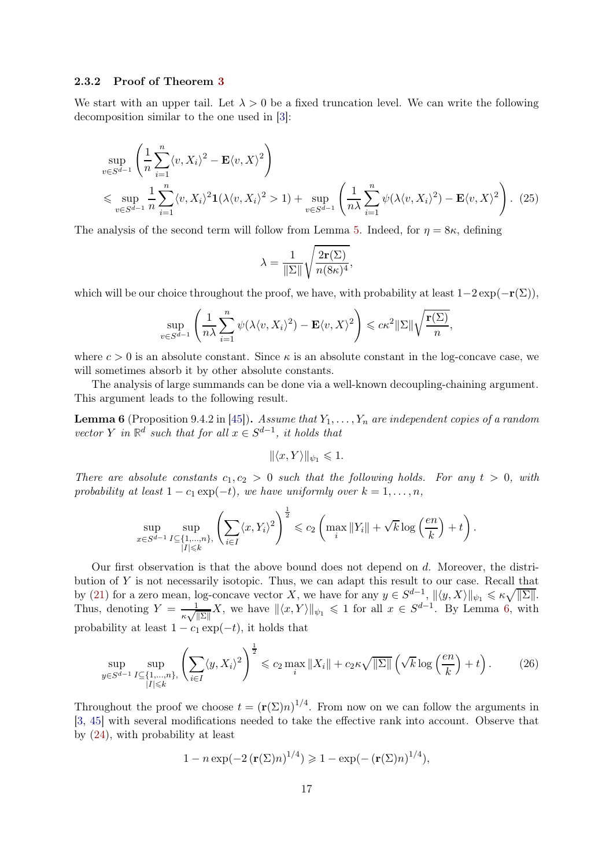### 2.3.2 Proof of Theorem [3](#page-4-1)

We start with an upper tail. Let  $\lambda > 0$  be a fixed truncation level. We can write the following decomposition similar to the one used in [\[3\]](#page-25-3):

$$
\sup_{v \in S^{d-1}} \left( \frac{1}{n} \sum_{i=1}^n \langle v, X_i \rangle^2 - \mathbf{E} \langle v, X \rangle^2 \right)
$$
\n
$$
\leqslant \sup_{v \in S^{d-1}} \frac{1}{n} \sum_{i=1}^n \langle v, X_i \rangle^2 \mathbf{1} (\lambda \langle v, X_i \rangle^2 > 1) + \sup_{v \in S^{d-1}} \left( \frac{1}{n\lambda} \sum_{i=1}^n \psi(\lambda \langle v, X_i \rangle^2) - \mathbf{E} \langle v, X \rangle^2 \right). \tag{25}
$$

The analysis of the second term will follow from Lemma [5.](#page-13-1) Indeed, for  $\eta = 8\kappa$ , defining

<span id="page-16-2"></span>
$$
\lambda = \frac{1}{\|\Sigma\|} \sqrt{\frac{2\mathbf{r}(\Sigma)}{n(8\kappa)^4}},
$$

which will be our choice throughout the proof, we have, with probability at least  $1-2 \exp(-r(\Sigma))$ ,

$$
\sup_{v \in S^{d-1}} \left( \frac{1}{n\lambda} \sum_{i=1}^n \psi(\lambda \langle v, X_i \rangle^2) - \mathbf{E} \langle v, X \rangle^2 \right) \leqslant c\kappa^2 ||\Sigma|| \sqrt{\frac{\mathbf{r}(\Sigma)}{n}},
$$

where  $c > 0$  is an absolute constant. Since  $\kappa$  is an absolute constant in the log-concave case, we will sometimes absorb it by other absolute constants.

The analysis of large summands can be done via a well-known decoupling-chaining argument. This argument leads to the following result.

<span id="page-16-0"></span>**Lemma 6** (Proposition 9.4.2 in [\[45\]](#page-27-7)). Assume that  $Y_1, \ldots, Y_n$  are independent copies of a random vector Y in  $\mathbb{R}^d$  such that for all  $x \in S^{d-1}$ , it holds that

<span id="page-16-1"></span>
$$
\|\langle x, Y\rangle\|_{\psi_1} \leq 1.
$$

There are absolute constants  $c_1, c_2 > 0$  such that the following holds. For any  $t > 0$ , with probability at least  $1 - c_1 \exp(-t)$ , we have uniformly over  $k = 1, \ldots, n$ ,

$$
\sup_{x \in S^{d-1}} \sup_{\substack{I \subseteq \{1,\ldots,n\}, \\ |I| \leqslant k}} \left( \sum_{i \in I} \langle x, Y_i \rangle^2 \right)^{\frac{1}{2}} \leqslant c_2 \left( \max_i \|Y_i\| + \sqrt{k} \log \left( \frac{en}{k} \right) + t \right).
$$

Our first observation is that the above bound does not depend on d. Moreover, the distribution of Y is not necessarily isotopic. Thus, we can adapt this result to our case. Recall that by [\(21\)](#page-15-0) for a zero mean, log-concave vector X, we have for any  $y \in S^{d-1}$ ,  $\|\langle y, X\rangle\|_{\psi_1} \leq \kappa \sqrt{\|\Sigma\|}$ . Thus, denoting  $Y = \frac{1}{\sqrt{2}}$  $\frac{1}{\kappa \sqrt{\|\Sigma\|}} X$ , we have  $\|\langle x, Y \rangle\|_{\psi_1} \leq 1$  for all  $x \in S^{d-1}$ . By Lemma [6,](#page-16-0) with probability at least  $1 - c_1 \exp(-t)$ , it holds that

$$
\sup_{y\in S^{d-1}}\sup_{\substack{I\subseteq\{1,\ldots,n\}\\|I|\leqslant k}}\left(\sum_{i\in I}\langle y,X_i\rangle^2\right)^{\frac{1}{2}}\leqslant c_2\max_i\|X_i\|+c_2\kappa\sqrt{\|\Sigma\|}\left(\sqrt{k}\log\left(\frac{en}{k}\right)+t\right). \tag{26}
$$

Throughout the proof we choose  $t = (\mathbf{r}(\Sigma)n)^{1/4}$ . From now on we can follow the arguments in [\[3,](#page-25-3) [45\]](#page-27-7) with several modifications needed to take the effective rank into account. Observe that by [\(24\)](#page-15-3), with probability at least

$$
1 - n \exp(-2\left(\mathbf{r}(\Sigma)n\right)^{1/4}) \geq 1 - \exp(-\left(\mathbf{r}(\Sigma)n\right)^{1/4}),
$$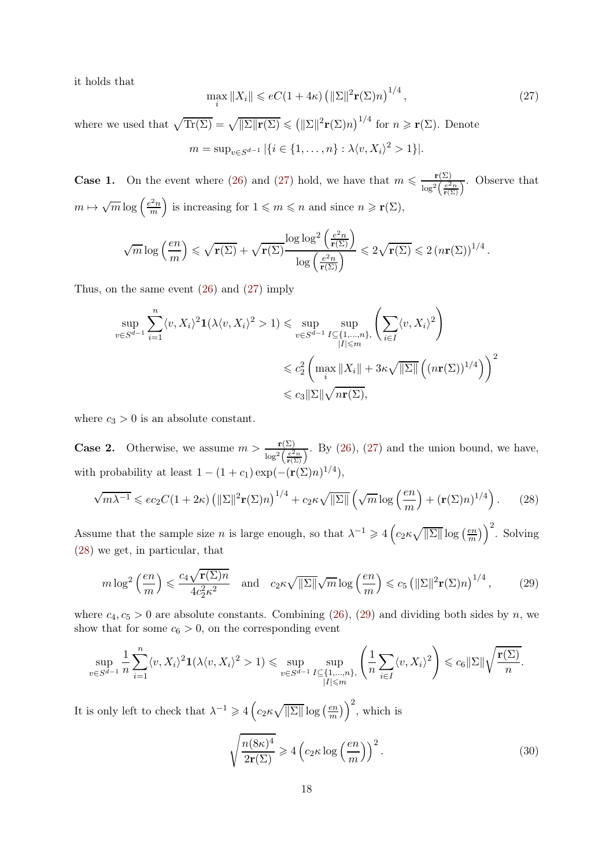it holds that

<span id="page-17-0"></span>
$$
\max_{i} \|X_i\| \leqslant eC(1+4\kappa) \left( \|\Sigma\|^2 \mathbf{r}(\Sigma)n \right)^{1/4},\tag{27}
$$

where we used that  $\sqrt{\text{Tr}(\Sigma)} = \sqrt{\|\Sigma\| \mathbf{r}(\Sigma)} \le (\|\Sigma\|^2 \mathbf{r}(\Sigma)n)^{1/4}$  for  $n \ge \mathbf{r}(\Sigma)$ . Denote  $m = \sup_{v \in S^{d-1}} |\{i \in \{1, ..., n\} : \lambda \langle v, X_i \rangle^2 > 1\}|.$ 

**Case 1.** On the event where [\(26\)](#page-16-1) and [\(27\)](#page-17-0) hold, we have that  $m \leqslant \frac{\mathbf{r}(\Sigma)}{n}$  $\frac{\Gamma(\Sigma)}{\log^2\left(\frac{e^2n}{\Gamma(\Sigma)}\right)}$ . Observe that  $m \mapsto \sqrt{m} \log \left( \frac{e^2 n}{m} \right)$ m is increasing for  $1 \leq m \leq n$  and since  $n \geq \mathbf{r}(\Sigma)$ ,

$$
\sqrt{m} \log\left(\frac{en}{m}\right) \leqslant \sqrt{\mathbf{r}(\Sigma)} + \sqrt{\mathbf{r}(\Sigma)} \frac{\log\log^2\left(\frac{e^2n}{\mathbf{r}(\Sigma)}\right)}{\log\left(\frac{e^2n}{\mathbf{r}(\Sigma)}\right)} \leqslant 2\sqrt{\mathbf{r}(\Sigma)} \leqslant 2\left(n\mathbf{r}(\Sigma)\right)^{1/4}.
$$

Thus, on the same event [\(26\)](#page-16-1) and [\(27\)](#page-17-0) imply

$$
\sup_{v \in S^{d-1}} \sum_{i=1}^{n} \langle v, X_i \rangle^2 \mathbf{1}(\lambda \langle v, X_i \rangle^2 > 1) \le \sup_{v \in S^{d-1}} \sup_{\substack{I \subseteq \{1, \dots, n\} \\ |I| \le m}} \left( \sum_{i \in I} \langle v, X_i \rangle^2 \right)
$$
  

$$
\le c_2^2 \left( \max_i \|X_i\| + 3\kappa \sqrt{\|\Sigma\|} \left( (n\mathbf{r}(\Sigma))^{1/4} \right) \right)^2
$$
  

$$
\le c_3 \|\Sigma\| \sqrt{n\mathbf{r}(\Sigma)},
$$

where  $c_3 > 0$  is an absolute constant.

**Case 2.** Otherwise, we assume  $m > \frac{r(\Sigma)}{\log^2\left(\frac{e^2n}{r(\Sigma)}\right)}$ . By [\(26\)](#page-16-1), [\(27\)](#page-17-0) and the union bound, we have, with probability at least  $1 - (1 + c_1) \exp(-(\mathbf{r}(\Sigma)n)^{1/4}),$ 

$$
\sqrt{m\lambda^{-1}} \leqslant ec_2C(1+2\kappa)\left(\|\Sigma\|^2\mathbf{r}(\Sigma)n\right)^{1/4} + c_2\kappa\sqrt{\|\Sigma\|}\left(\sqrt{m}\log\left(\frac{en}{m}\right) + (\mathbf{r}(\Sigma)n)^{1/4}\right). \tag{28}
$$

Assume that the sample size n is large enough, so that  $\lambda^{-1} \geqslant 4\left(c_2\kappa\sqrt{\|\Sigma\|}\log\left(\frac{en}{m}\right)\right)$  $\binom{em}{m}$ )<sup>2</sup>. Solving [\(28\)](#page-17-1) we get, in particular, that

$$
m \log^2\left(\frac{en}{m}\right) \leqslant \frac{c_4 \sqrt{\mathbf{r}(\Sigma)n}}{4c_2^2 \kappa^2} \quad \text{and} \quad c_2 \kappa \sqrt{\|\Sigma\|} \sqrt{m} \log\left(\frac{en}{m}\right) \leqslant c_5 \left(\|\Sigma\|^2 \mathbf{r}(\Sigma)n\right)^{1/4},\tag{29}
$$

where  $c_4, c_5 > 0$  are absolute constants. Combining [\(26\)](#page-16-1), [\(29\)](#page-17-2) and dividing both sides by n, we show that for some  $c_6 > 0$ , on the corresponding event

$$
\sup_{v\in S^{d-1}}\frac{1}{n}\sum_{i=1}^n\langle v,X_i\rangle^2\mathbf{1}(\lambda\langle v,X_i\rangle^2>1) \leq \sup_{v\in S^{d-1}}\sup_{\substack{I\subseteq\{1,\ldots,n\},\\|I|\leqslant m}}\left(\frac{1}{n}\sum_{i\in I}\langle v,X_i\rangle^2\right) \leqslant c_6\|\Sigma\|\sqrt{\frac{\mathbf{r}(\Sigma)}{n}}.
$$

It is only left to check that  $\lambda^{-1} \geqslant 4 \left( c_2 \kappa \sqrt{\|\Sigma\|} \log \left( \frac{e n}{m} \right) \right)$  $\binom{em}{m}$ )  $\binom{2}{n}$ , which is

<span id="page-17-3"></span><span id="page-17-2"></span><span id="page-17-1"></span>
$$
\sqrt{\frac{n(8\kappa)^4}{2\mathbf{r}(\Sigma)}} \ge 4\left(c_2\kappa\log\left(\frac{en}{m}\right)\right)^2.
$$
\n(30)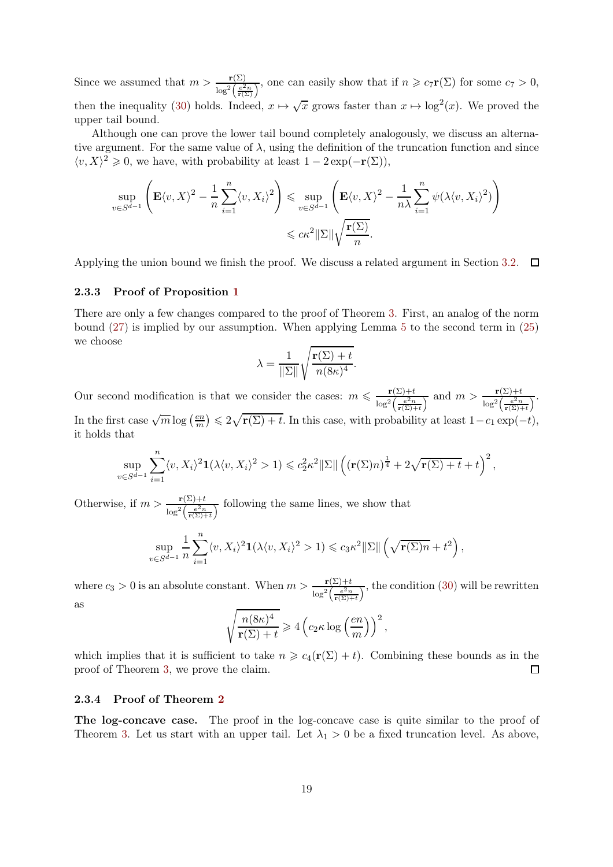Since we assumed that  $m > \frac{\mathbf{r}(\Sigma)}{\log^2\left(\frac{e^2 n}{\mathbf{r}(\Sigma)}\right)}$ , one can easily show that if  $n \geqslant c_7 \mathbf{r}(\Sigma)$  for some  $c_7 > 0$ , then the inequality [\(30\)](#page-17-3) holds. Indeed,  $x \mapsto \sqrt{x}$  grows faster than  $x \mapsto \log^2(x)$ . We proved the upper tail bound.

Although one can prove the lower tail bound completely analogously, we discuss an alternative argument. For the same value of  $\lambda$ , using the definition of the truncation function and since  $\langle v, X \rangle^2 \geq 0$ , we have, with probability at least  $1 - 2 \exp(-\mathbf{r}(\Sigma))$ ,

$$
\sup_{v \in S^{d-1}} \left( \mathbf{E} \langle v, X \rangle^2 - \frac{1}{n} \sum_{i=1}^n \langle v, X_i \rangle^2 \right) \leq \sup_{v \in S^{d-1}} \left( \mathbf{E} \langle v, X \rangle^2 - \frac{1}{n\lambda} \sum_{i=1}^n \psi(\lambda \langle v, X_i \rangle^2) \right)
$$
  

$$
\leq c \kappa^2 ||\Sigma|| \sqrt{\frac{\mathbf{r}(\Sigma)}{n}}.
$$

Applying the union bound we finish the proof. We discuss a related argument in Section [3.2.](#page-22-0)  $\Box$ 

#### 2.3.3 Proof of Proposition [1](#page-5-3)

There are only a few changes compared to the proof of Theorem [3.](#page-4-1) First, an analog of the norm bound [\(27\)](#page-17-0) is implied by our assumption. When applying Lemma [5](#page-13-1) to the second term in [\(25\)](#page-16-2) we choose

$$
\lambda = \frac{1}{\|\Sigma\|} \sqrt{\frac{\mathbf{r}(\Sigma) + t}{n(8\kappa)^4}}.
$$

Our second modification is that we consider the cases:  $m \leqslant \frac{\mathbf{r}(\Sigma)+t}{\sqrt{2\pi}}$  $\frac{\mathbf{r}(\Sigma)+t}{\log^2\left(\frac{e^2n}{\mathbf{r}(\Sigma)+t}\right)}$  and  $m > \frac{\mathbf{r}(\Sigma)+t}{\log^2\left(\frac{e^2n}{\mathbf{r}(\Sigma)+t}\right)}$ . In the first case  $\sqrt{m} \log \left( \frac{e n}{m} \right)$  $\binom{em}{m} \leqslant 2\sqrt{\mathbf{r}(\Sigma) + t}$ . In this case, with probability at least  $1 - c_1 \exp(-t)$ , it holds that

$$
\sup_{v \in S^{d-1}} \sum_{i=1}^n \langle v, X_i \rangle^2 \mathbf{1}(\lambda \langle v, X_i \rangle^2 > 1) \leq c_2^2 \kappa^2 \|\Sigma\| \left( (\mathbf{r}(\Sigma)n)^{\frac{1}{4}} + 2\sqrt{\mathbf{r}(\Sigma) + t} + t \right)^2,
$$

Otherwise, if  $m > \frac{\mathbf{r}(\Sigma) + t}{\log^2\left(\frac{e^2 n}{\mathbf{r}(\Sigma) + t}\right)}$  following the same lines, we show that

$$
\sup_{v \in S^{d-1}} \frac{1}{n} \sum_{i=1}^n \langle v, X_i \rangle^2 \mathbf{1}(\lambda \langle v, X_i \rangle^2 > 1) \leqslant c_3 \kappa^2 ||\Sigma|| \left( \sqrt{\mathbf{r}(\Sigma)n} + t^2 \right),
$$

where  $c_3 > 0$  is an absolute constant. When  $m > \frac{\mathbf{r}(\Sigma) + t}{\log^2\left(\frac{e^2 n}{\mathbf{r}(\Sigma) + t}\right)}$ , the condition [\(30\)](#page-17-3) will be rewritten as

$$
\sqrt{\frac{n(8\kappa)^4}{\mathbf{r}(\Sigma)+t}} \geqslant 4\left(c_2\kappa\log\left(\frac{en}{m}\right)\right)^2,
$$

which implies that it is sufficient to take  $n \geq c_4(\mathbf{r}(\Sigma) + t)$ . Combining these bounds as in the proof of Theorem [3,](#page-4-1) we prove the claim.  $\Box$ 

#### 2.3.4 Proof of Theorem [2](#page-4-0)

The log-concave case. The proof in the log-concave case is quite similar to the proof of Theorem [3.](#page-4-1) Let us start with an upper tail. Let  $\lambda_1 > 0$  be a fixed truncation level. As above,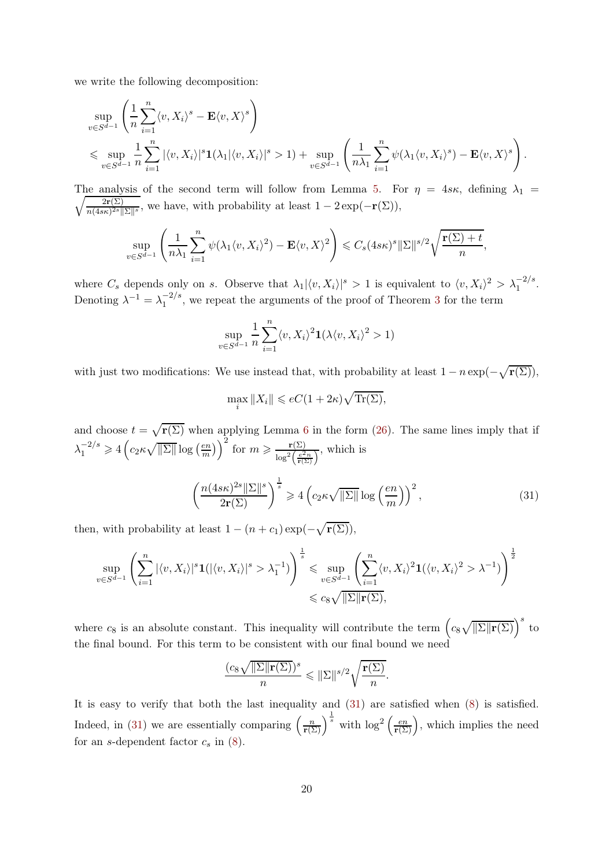we write the following decomposition:

$$
\sup_{v \in S^{d-1}} \left( \frac{1}{n} \sum_{i=1}^n \langle v, X_i \rangle^s - \mathbf{E} \langle v, X \rangle^s \right)
$$
  
\$\leqslant \sup\_{v \in S^{d-1}} \frac{1}{n} \sum\_{i=1}^n |\langle v, X\_i \rangle|^s \mathbf{1}(\lambda\_1 |\langle v, X\_i \rangle|^s > 1) + \sup\_{v \in S^{d-1}} \left( \frac{1}{n \lambda\_1} \sum\_{i=1}^n \psi(\lambda\_1 \langle v, X\_i \rangle^s) - \mathbf{E} \langle v, X \rangle^s \right).

The analysis of the second term will follow from Lemma [5.](#page-13-1) For  $\eta = 4s\kappa$ , defining  $\lambda_1 =$  $\sqrt{2r(\Sigma)}$  $\frac{2r(\Sigma)}{n(4s\kappa)^{2s} \|\Sigma\|^s}$ , we have, with probability at least  $1-2\exp(-r(\Sigma)),$ 

$$
\sup_{v \in S^{d-1}} \left( \frac{1}{n\lambda_1} \sum_{i=1}^n \psi(\lambda_1 \langle v, X_i \rangle^2) - \mathbf{E} \langle v, X \rangle^2 \right) \leqslant C_s (4s\kappa)^s ||\Sigma||^{s/2} \sqrt{\frac{\mathbf{r}(\Sigma) + t}{n}},
$$

where  $C_s$  depends only on s. Observe that  $\lambda_1 |\langle v, X_i \rangle|^s > 1$  is equivalent to  $\langle v, X_i \rangle^2 > \lambda_1^{-2/s}$ . Denoting  $\lambda^{-1} = \lambda_1^{-2/s}$ , we repeat the arguments of the proof of Theorem [3](#page-4-1) for the term

$$
\sup_{v \in S^{d-1}} \frac{1}{n} \sum_{i=1}^n \langle v, X_i \rangle^2 \mathbf{1}(\lambda \langle v, X_i \rangle^2 > 1)
$$

with just two modifications: We use instead that, with probability at least  $1 - n \exp(-\sqrt{r(\Sigma)})$ ,

<span id="page-19-0"></span>
$$
\max_{i} \|X_i\| \leqslant eC(1+2\kappa)\sqrt{\text{Tr}(\Sigma)},
$$

and choose  $t = \sqrt{r(\Sigma)}$  when applying Lemma [6](#page-16-0) in the form [\(26\)](#page-16-1). The same lines imply that if  $\lambda_1^{-2/s} \geqslant 4 \left( c_2 \kappa \sqrt{\|\Sigma\|} \log \left( \frac{e n}{m} \right) \right)$  $\left(\frac{en}{m}\right)^2$  for  $m \geqslant \frac{\mathbf{r}(\Sigma)}{\log^2\left(\frac{e^2}{n}\right)}$  $\frac{\Gamma(\Sigma)}{\log^2\left(\frac{e^2n}{\Gamma(\Sigma)}\right)}$ , which is

$$
\left(\frac{n(4s\kappa)^{2s} \|\Sigma\|^s}{2\mathbf{r}(\Sigma)}\right)^{\frac{1}{s}} \ge 4\left(c_2\kappa\sqrt{\|\Sigma\|}\log\left(\frac{en}{m}\right)\right)^2,\tag{31}
$$

then, with probability at least  $1 - (n + c_1) \exp(-\sqrt{\mathbf{r}(\Sigma)})$ ,

$$
\sup_{v \in S^{d-1}} \left( \sum_{i=1}^n |\langle v, X_i \rangle|^s \mathbf{1}(|\langle v, X_i \rangle|^s > \lambda_1^{-1}) \right)^{\frac{1}{s}} \leq \sup_{v \in S^{d-1}} \left( \sum_{i=1}^n \langle v, X_i \rangle^2 \mathbf{1}(\langle v, X_i \rangle^2 > \lambda^{-1}) \right)^{\frac{1}{2}}
$$
  

$$
\leq c_8 \sqrt{\|\Sigma\| \mathbf{r}(\Sigma)},
$$

where  $c_8$  is an absolute constant. This inequality will contribute the term  $(c_8\sqrt{\|\Sigma\| \mathbf{r}(\Sigma)})^s$  to the final bound. For this term to be consistent with our final bound we need

$$
\frac{(c_8\sqrt{\|\Sigma\|\mathbf{r}(\Sigma))^s}}{n} \leq \|\Sigma\|^{s/2} \sqrt{\frac{\mathbf{r}(\Sigma)}{n}}.
$$

It is easy to verify that both the last inequality and [\(31\)](#page-19-0) are satisfied when [\(8\)](#page-4-2) is satisfied. Indeed, in [\(31\)](#page-19-0) we are essentially comparing  $\left(\frac{n}{\mathbf{r}(\Sigma)}\right)^{\frac{1}{s}}$  with  $\log^2\left(\frac{en}{\mathbf{r}(\Sigma)}\right)$ , which implies the need for an s-dependent factor  $c_s$  in  $(8)$ .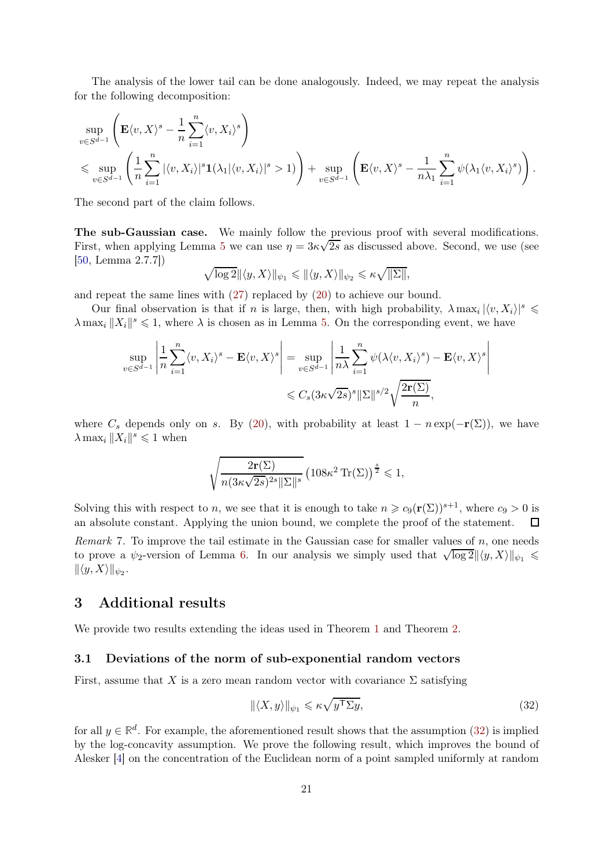The analysis of the lower tail can be done analogously. Indeed, we may repeat the analysis for the following decomposition:

$$
\sup_{v \in S^{d-1}} \left( \mathbf{E} \langle v, X \rangle^s - \frac{1}{n} \sum_{i=1}^n \langle v, X_i \rangle^s \right)
$$
  
\$\leqslant \sup\_{v \in S^{d-1}} \left( \frac{1}{n} \sum\_{i=1}^n |\langle v, X\_i \rangle|^s \mathbf{1}(\lambda\_1 |\langle v, X\_i \rangle|^s > 1) \right) + \sup\_{v \in S^{d-1}} \left( \mathbf{E} \langle v, X \rangle^s - \frac{1}{n \lambda\_1} \sum\_{i=1}^n \psi(\lambda\_1 \langle v, X\_i \rangle^s) \right).

The second part of the claim follows.

The sub-Gaussian case. We mainly follow the previous proof with several modifications. First, when applying Lemma [5](#page-13-1) we can use  $\eta = 3\kappa\sqrt{2s}$  as discussed above. Second, we use (see [\[50,](#page-27-0) Lemma 2.7.7])

$$
\sqrt{\log 2} \|\langle y, X\rangle\|_{\psi_1} \le \|\langle y, X\rangle\|_{\psi_2} \le \kappa \sqrt{\|\Sigma\|},
$$

and repeat the same lines with [\(27\)](#page-17-0) replaced by [\(20\)](#page-15-4) to achieve our bound.

Our final observation is that if n is large, then, with high probability,  $\lambda \max_i |\langle v, X_i \rangle|^s \leq$  $\lambda \max_i ||X_i||^s \leq 1$ , where  $\lambda$  is chosen as in Lemma [5.](#page-13-1) On the corresponding event, we have

$$
\sup_{v \in S^{d-1}} \left| \frac{1}{n} \sum_{i=1}^n \langle v, X_i \rangle^s - \mathbf{E} \langle v, X \rangle^s \right| = \sup_{v \in S^{d-1}} \left| \frac{1}{n\lambda} \sum_{i=1}^n \psi(\lambda \langle v, X_i \rangle^s) - \mathbf{E} \langle v, X \rangle^s \right|
$$
  

$$
\leq C_s (3\kappa \sqrt{2s})^s ||\Sigma||^{s/2} \sqrt{\frac{2\mathbf{r}(\Sigma)}{n}},
$$

where  $C_s$  depends only on s. By [\(20\)](#page-15-4), with probability at least  $1 - n \exp(-r(\Sigma))$ , we have  $\lambda \max_i ||X_i||^s \leq 1$  when

$$
\sqrt{\frac{2\mathbf{r}(\Sigma)}{n(3\kappa\sqrt{2s})^{2s}\|\Sigma\|^s}} \left(108\kappa^2 \operatorname{Tr}(\Sigma)\right)^{\frac{s}{2}} \leqslant 1,
$$

Solving this with respect to n, we see that it is enough to take  $n \geq c_9(\mathbf{r}(\Sigma))^{s+1}$ , where  $c_9 > 0$  is an absolute constant. Applying the union bound, we complete the proof of the statement. Remark 7. To improve the tail estimate in the Gaussian case for smaller values of  $n$ , one needs to prove a  $\psi_2$ -version of Lemma [6.](#page-16-0) In our analysis we simply used that  $\sqrt{\log 2} \|\langle y, X \rangle\|_{\psi_1} \leq$  $\|\langle y, X\rangle\|_{\psi_2}.$ 

## <span id="page-20-0"></span>3 Additional results

We provide two results extending the ideas used in Theorem [1](#page-1-3) and Theorem [2.](#page-4-0)

#### 3.1 Deviations of the norm of sub-exponential random vectors

First, assume that X is a zero mean random vector with covariance  $\Sigma$  satisfying

<span id="page-20-1"></span>
$$
\|\langle X, y \rangle\|_{\psi_1} \leq \kappa \sqrt{y^{\mathsf{T}} \Sigma y},\tag{32}
$$

for all  $y \in \mathbb{R}^d$ . For example, the aforementioned result shows that the assumption [\(32\)](#page-20-1) is implied by the log-concavity assumption. We prove the following result, which improves the bound of Alesker [\[4\]](#page-25-11) on the concentration of the Euclidean norm of a point sampled uniformly at random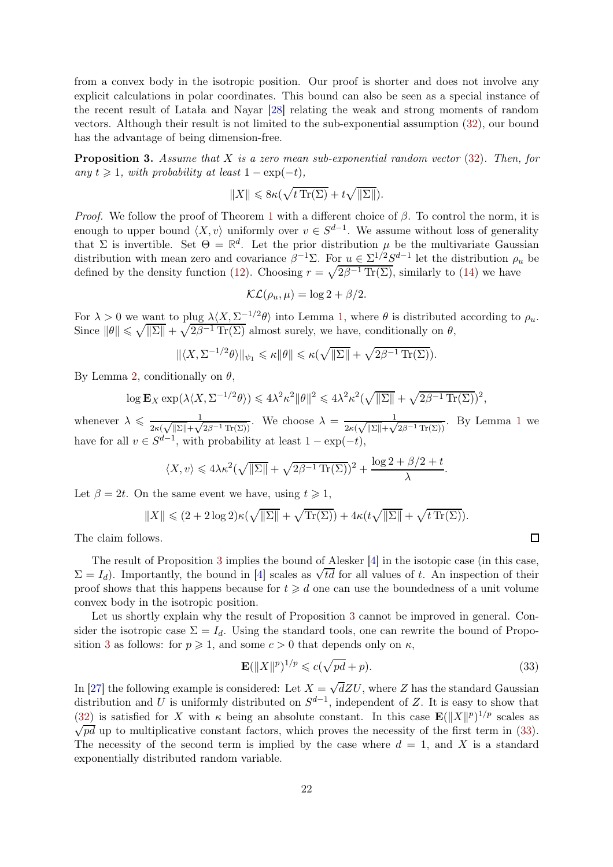from a convex body in the isotropic position. Our proof is shorter and does not involve any explicit calculations in polar coordinates. This bound can also be seen as a special instance of the recent result of Latała and Nayar [\[28\]](#page-26-22) relating the weak and strong moments of random vectors. Although their result is not limited to the sub-exponential assumption [\(32\)](#page-20-1), our bound has the advantage of being dimension-free.

<span id="page-21-0"></span>**Proposition 3.** Assume that X is a zero mean sub-exponential random vector  $(32)$ . Then, for any  $t \geq 1$ , with probability at least  $1 - \exp(-t)$ ,

$$
||X|| \leq 8\kappa(\sqrt{t\operatorname{Tr}(\Sigma)} + t\sqrt{||\Sigma||}).
$$

*Proof.* We follow the proof of Theorem [1](#page-1-3) with a different choice of  $\beta$ . To control the norm, it is enough to upper bound  $\langle X, v \rangle$  uniformly over  $v \in S^{d-1}$ . We assume without loss of generality that  $\Sigma$  is invertible. Set  $\Theta = \mathbb{R}^d$ . Let the prior distribution  $\mu$  be the multivariate Gaussian distribution with mean zero and covariance  $\beta^{-1}\Sigma$ . For  $u \in \Sigma^{1/2}S^{d-1}$  let the distribution  $\rho_u$  be defined by the density function [\(12\)](#page-9-0). Choosing  $r = \sqrt{2\beta^{-1} \text{Tr}(\Sigma)}$ , similarly to [\(14\)](#page-10-0) we have

$$
\mathcal{KL}(\rho_u, \mu) = \log 2 + \beta/2.
$$

For  $\lambda > 0$  we want to plug  $\lambda \langle X, \Sigma^{-1/2} \theta \rangle$  into Lemma [1,](#page-5-2) where  $\theta$  is distributed according to  $\rho_u$ . Since  $||\theta|| \le \sqrt{||\Sigma||} + \sqrt{2\beta^{-1} \text{Tr}(\Sigma)}$  almost surely, we have, conditionally on  $\theta$ ,

$$
\|\langle X, \Sigma^{-1/2}\theta\rangle\|_{\psi_1} \leq \kappa \|\theta\| \leq \kappa(\sqrt{\|\Sigma\|} + \sqrt{2\beta^{-1}\operatorname{Tr}(\Sigma)}).
$$

By Lemma [2,](#page-7-1) conditionally on  $\theta$ ,

$$
\log \mathbf{E}_X \exp(\lambda \langle X, \Sigma^{-1/2} \theta \rangle) \leq 4\lambda^2 \kappa^2 \|\theta\|^2 \leq 4\lambda^2 \kappa^2 (\sqrt{\|\Sigma\|} + \sqrt{2\beta^{-1} \operatorname{Tr}(\Sigma)})^2,
$$

whenever  $\lambda \leqslant \frac{1}{2\sqrt{|\mathcal{S}||} + 1}$  $\frac{1}{2\kappa(\sqrt{\|\Sigma\|}+\sqrt{2\beta^{-1}\operatorname{Tr}(\Sigma)})}$ . We choose  $\lambda = \frac{1}{2\kappa(\sqrt{\|\Sigma\|}+\sqrt{2\beta^{-1}\operatorname{Tr}(\Sigma))}}$  $\frac{1}{2\kappa(\sqrt{\|\Sigma\|}+\sqrt{2\beta^{-1}\operatorname{Tr}(\Sigma)})}$  $\frac{1}{2\kappa(\sqrt{\|\Sigma\|}+\sqrt{2\beta^{-1}\operatorname{Tr}(\Sigma)})}$  $\frac{1}{2\kappa(\sqrt{\|\Sigma\|}+\sqrt{2\beta^{-1}\operatorname{Tr}(\Sigma)})}$ . By Lemma 1 we have for all  $v \in S^{d-1}$ , with probability at least  $1 - \exp(-t)$ ,

$$
\langle X, v \rangle \leq 4\lambda \kappa^2 (\sqrt{\|\Sigma\|} + \sqrt{2\beta^{-1} \operatorname{Tr}(\Sigma)})^2 + \frac{\log 2 + \beta/2 + t}{\lambda}.
$$

Let  $\beta = 2t$ . On the same event we have, using  $t \geq 1$ ,

$$
||X|| \leq (2 + 2\log 2)\kappa(\sqrt{||\Sigma||} + \sqrt{\text{Tr}(\Sigma)}) + 4\kappa(t\sqrt{||\Sigma||} + \sqrt{t\text{Tr}(\Sigma)}).
$$

The claim follows.

The result of Proposition [3](#page-21-0) implies the bound of Alesker [\[4\]](#page-25-11) in the isotopic case (in this case,  $\Sigma = I_d$ ). Importantly, the bound in [\[4\]](#page-25-11) scales as  $\sqrt{td}$  for all values of t. An inspection of their proof shows that this happens because for  $t \geq d$  one can use the boundedness of a unit volume convex body in the isotropic position.

Let us shortly explain why the result of Proposition [3](#page-21-0) cannot be improved in general. Consider the isotropic case  $\Sigma = I_d$ . Using the standard tools, one can rewrite the bound of Propo-sition [3](#page-21-0) as follows: for  $p \ge 1$ , and some  $c > 0$  that depends only on  $\kappa$ ,

$$
\mathbf{E}(\|X\|^p)^{1/p} \leqslant c(\sqrt{pd} + p). \tag{33}
$$

In [\[27\]](#page-26-23) the following example is considered: Let  $X = \sqrt{d}ZU$ , where Z has the standard Gaussian distribution and U is uniformly distributed on  $S^{d-1}$ , independent of Z. It is easy to show that  $(32)$  is satisfied for X with  $\kappa$  being an absolute constant. In this case  $\mathbf{E}(\|X\|^p)^{1/p}$  scales as  $\sqrt{pd}$  up to multiplicative constant factors, which proves the necessity of the first term in [\(33\)](#page-21-1). The necessity of the second term is implied by the case where  $d = 1$ , and X is a standard exponentially distributed random variable.

<span id="page-21-1"></span>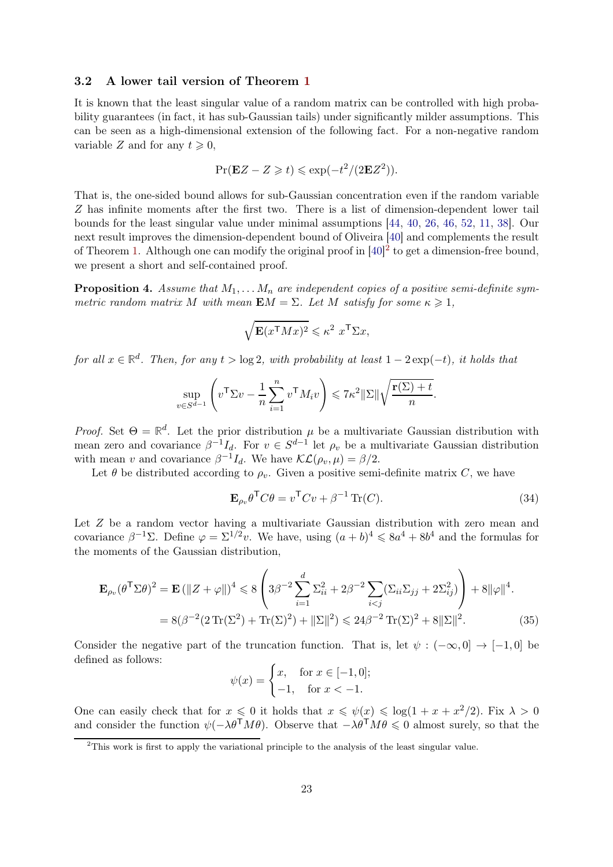### <span id="page-22-0"></span>3.2 A lower tail version of Theorem [1](#page-1-3)

It is known that the least singular value of a random matrix can be controlled with high probability guarantees (in fact, it has sub-Gaussian tails) under significantly milder assumptions. This can be seen as a high-dimensional extension of the following fact. For a non-negative random variable Z and for any  $t \geq 0$ ,

$$
\Pr(\mathbf{E}Z - Z \geq t) \leq \exp(-t^2/(2\mathbf{E}Z^2)).
$$

That is, the one-sided bound allows for sub-Gaussian concentration even if the random variable Z has infinite moments after the first two. There is a list of dimension-dependent lower tail bounds for the least singular value under minimal assumptions [\[44,](#page-27-10) [40,](#page-26-14) [26,](#page-26-24) [46,](#page-27-11) [52,](#page-27-12) [11,](#page-25-6) [38\]](#page-26-25). Our next result improves the dimension-dependent bound of Oliveira [\[40\]](#page-26-14) and complements the result of Theorem [1.](#page-1-3) Although one can modify the original proof in  $[40]^2$  $[40]^2$  to get a dimension-free bound, we present a short and self-contained proof.

<span id="page-22-4"></span>**Proposition 4.** Assume that  $M_1, \ldots, M_n$  are independent copies of a positive semi-definite symmetric random matrix M with mean  $EM = \Sigma$ . Let M satisfy for some  $\kappa \geq 1$ ,

$$
\sqrt{\mathbf{E}(x^{\mathsf{T}}Mx)^2} \leqslant \kappa^2 \ x^{\mathsf{T}}\Sigma x,
$$

for all  $x \in \mathbb{R}^d$ . Then, for any  $t > \log 2$ , with probability at least  $1 - 2 \exp(-t)$ , it holds that

$$
\sup_{v \in S^{d-1}} \left( v^{\mathsf{T}} \Sigma v - \frac{1}{n} \sum_{i=1}^{n} v^{\mathsf{T}} M_i v \right) \leqslant 7\kappa^2 ||\Sigma|| \sqrt{\frac{\mathbf{r}(\Sigma) + t}{n}}
$$

Proof. Set  $\Theta = \mathbb{R}^d$ . Let the prior distribution  $\mu$  be a multivariate Gaussian distribution with mean zero and covariance  $\beta^{-1}I_d$ . For  $v \in S^{d-1}$  let  $\rho_v$  be a multivariate Gaussian distribution with mean v and covariance  $\beta^{-1}I_d$ . We have  $\mathcal{KL}(\rho_v, \mu) = \beta/2$ .

Let  $\theta$  be distributed according to  $\rho_v$ . Given a positive semi-definite matrix C, we have

$$
\mathbf{E}_{\rho_v} \theta^{\mathsf{T}} C \theta = v^{\mathsf{T}} C v + \beta^{-1} \operatorname{Tr}(C). \tag{34}
$$

<span id="page-22-3"></span><span id="page-22-2"></span>.

Let Z be a random vector having a multivariate Gaussian distribution with zero mean and covariance  $\beta^{-1}\Sigma$ . Define  $\varphi = \Sigma^{1/2}v$ . We have, using  $(a+b)^4 \leq 8a^4 + 8b^4$  and the formulas for the moments of the Gaussian distribution,

$$
\mathbf{E}_{\rho_v}(\theta^{\mathsf{T}}\Sigma\theta)^2 = \mathbf{E}(\|Z + \varphi\|)^4 \leq 8\left(3\beta^{-2}\sum_{i=1}^d \Sigma_{ii}^2 + 2\beta^{-2}\sum_{i < j} (\Sigma_{ii}\Sigma_{jj} + 2\Sigma_{ij}^2)\right) + 8\|\varphi\|^4.
$$
\n
$$
= 8(\beta^{-2}(2\operatorname{Tr}(\Sigma^2) + \operatorname{Tr}(\Sigma)^2) + \|\Sigma\|^2) \leq 24\beta^{-2}\operatorname{Tr}(\Sigma)^2 + 8\|\Sigma\|^2. \tag{35}
$$

Consider the negative part of the truncation function. That is, let  $\psi: (-\infty, 0] \to [-1, 0]$  be defined as follows:

$$
\psi(x) = \begin{cases} x, & \text{for } x \in [-1, 0]; \\ -1, & \text{for } x < -1. \end{cases}
$$

One can easily check that for  $x \leq 0$  it holds that  $x \leq \psi(x) \leq \log(1 + x + x^2/2)$ . Fix  $\lambda > 0$ and consider the function  $\psi(-\lambda \theta^{\mathsf{T}}M\theta)$ . Observe that  $-\lambda \theta^{\mathsf{T}}M\theta \leq 0$  almost surely, so that the

<span id="page-22-1"></span> $2$ This work is first to apply the variational principle to the analysis of the least singular value.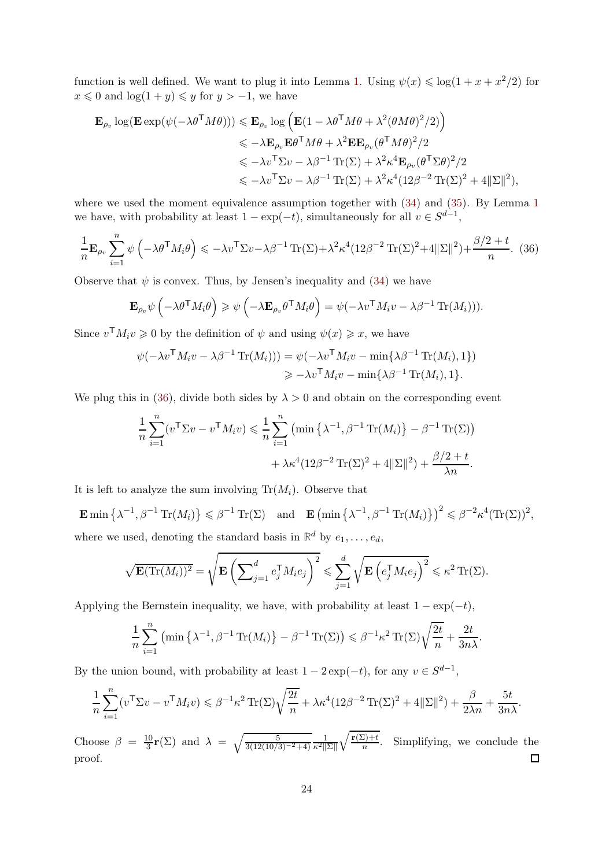function is well defined. We want to plug it into Lemma [1.](#page-5-2) Using  $\psi(x) \leq \log(1 + x + x^2/2)$  for  $x \leq 0$  and  $\log(1 + y) \leq y$  for  $y > -1$ , we have

$$
\mathbf{E}_{\rho_v} \log(\mathbf{E} \exp(\psi(-\lambda \theta^{\mathsf{T}} M \theta))) \leqslant \mathbf{E}_{\rho_v} \log(\mathbf{E}(1 - \lambda \theta^{\mathsf{T}} M \theta + \lambda^2 (\theta M \theta)^2 / 2) \leqslant -\lambda \mathbf{E}_{\rho_v} \mathbf{E} \theta^{\mathsf{T}} M \theta + \lambda^2 \mathbf{E} \mathbf{E}_{\rho_v} (\theta^{\mathsf{T}} M \theta)^2 / 2 \leqslant -\lambda v^{\mathsf{T}} \Sigma v - \lambda \beta^{-1} \operatorname{Tr}(\Sigma) + \lambda^2 \kappa^4 \mathbf{E}_{\rho_v} (\theta^{\mathsf{T}} \Sigma \theta)^2 / 2 \leqslant -\lambda v^{\mathsf{T}} \Sigma v - \lambda \beta^{-1} \operatorname{Tr}(\Sigma) + \lambda^2 \kappa^4 (12 \beta^{-2} \operatorname{Tr}(\Sigma)^2 + 4 ||\Sigma||^2),
$$

where we used the moment equivalence assumption together with  $(34)$  and  $(35)$ . By Lemma [1](#page-5-2) we have, with probability at least  $1 - \exp(-t)$ , simultaneously for all  $v \in S^{d-1}$ ,

$$
\frac{1}{n} \mathbf{E}_{\rho_v} \sum_{i=1}^n \psi \left( -\lambda \theta^{\mathsf{T}} M_i \theta \right) \leqslant -\lambda v^{\mathsf{T}} \Sigma v - \lambda \beta^{-1} \operatorname{Tr}(\Sigma) + \lambda^2 \kappa^4 (12\beta^{-2} \operatorname{Tr}(\Sigma)^2 + 4||\Sigma||^2) + \frac{\beta/2 + t}{n} .
$$
 (36)

Observe that  $\psi$  is convex. Thus, by Jensen's inequality and [\(34\)](#page-22-2) we have

<span id="page-23-0"></span>
$$
\mathbf{E}_{\rho_v} \psi \left( -\lambda \theta^{\mathsf{T}} M_i \theta \right) \geqslant \psi \left( -\lambda \mathbf{E}_{\rho_v} \theta^{\mathsf{T}} M_i \theta \right) = \psi (-\lambda v^{\mathsf{T}} M_i v - \lambda \beta^{-1} \operatorname{Tr}(M_i))).
$$

Since  $v^{\mathsf{T}} M_i v \geq 0$  by the definition of  $\psi$  and using  $\psi(x) \geq x$ , we have

$$
\psi(-\lambda v^{\mathsf{T}} M_i v - \lambda \beta^{-1} \operatorname{Tr}(M_i))) = \psi(-\lambda v^{\mathsf{T}} M_i v - \min{\{\lambda \beta^{-1} \operatorname{Tr}(M_i), 1\}})
$$
  

$$
\geq -\lambda v^{\mathsf{T}} M_i v - \min{\{\lambda \beta^{-1} \operatorname{Tr}(M_i), 1\}}.
$$

We plug this in [\(36\)](#page-23-0), divide both sides by  $\lambda > 0$  and obtain on the corresponding event

$$
\frac{1}{n}\sum_{i=1}^{n} (v^{\mathsf{T}}\Sigma v - v^{\mathsf{T}}M_i v) \leq \frac{1}{n}\sum_{i=1}^{n} \left(\min\left\{\lambda^{-1}, \beta^{-1}\operatorname{Tr}(M_i)\right\} - \beta^{-1}\operatorname{Tr}(\Sigma)\right) + \lambda \kappa^4 (12\beta^{-2}\operatorname{Tr}(\Sigma)^2 + 4\|\Sigma\|^2) + \frac{\beta/2 + t}{\lambda n}.
$$

It is left to analyze the sum involving  $Tr(M_i)$ . Observe that

 $\mathbf{E} \min \left\{ \lambda^{-1}, \beta^{-1} \operatorname{Tr}(M_i) \right\} \leqslant \beta^{-1} \operatorname{Tr}(\Sigma) \quad \text{and} \quad \mathbf{E} \left( \min \left\{ \lambda^{-1}, \beta^{-1} \operatorname{Tr}(M_i) \right\} \right)^2 \leqslant \beta^{-2} \kappa^4 (\operatorname{Tr}(\Sigma))^2,$ where we used, denoting the standard basis in  $\mathbb{R}^d$  by  $e_1, \ldots, e_d$ ,

$$
\sqrt{\mathbf{E}(\text{Tr}(M_i))^2} = \sqrt{\mathbf{E}\left(\sum_{j=1}^d e_j^{\mathsf{T}} M_i e_j\right)^2} \leqslant \sum_{j=1}^d \sqrt{\mathbf{E}\left(e_j^{\mathsf{T}} M_i e_j\right)^2} \leqslant \kappa^2 \text{Tr}(\Sigma).
$$

Applying the Bernstein inequality, we have, with probability at least  $1 - \exp(-t)$ ,

$$
\frac{1}{n}\sum_{i=1}^n \left(\min\left\{\lambda^{-1}, \beta^{-1} \operatorname{Tr}(M_i)\right\} - \beta^{-1} \operatorname{Tr}(\Sigma)\right) \leqslant \beta^{-1} \kappa^2 \operatorname{Tr}(\Sigma) \sqrt{\frac{2t}{n}} + \frac{2t}{3n\lambda}.
$$

By the union bound, with probability at least  $1 - 2 \exp(-t)$ , for any  $v \in S^{d-1}$ ,

$$
\frac{1}{n}\sum_{i=1}^n (v^\mathsf{T} \Sigma v - v^\mathsf{T} M_i v) \leq \beta^{-1} \kappa^2 \operatorname{Tr}(\Sigma) \sqrt{\frac{2t}{n}} + \lambda \kappa^4 (12\beta^{-2} \operatorname{Tr}(\Sigma)^2 + 4||\Sigma||^2) + \frac{\beta}{2\lambda n} + \frac{5t}{3n\lambda}.
$$

 $\int$ **r**(Σ)+t  $\frac{10}{3}$ **r**(Σ) and  $\lambda = \sqrt{\frac{5}{3(12(10/3)^{-2}+4)}} \frac{1}{\kappa^2 ||\Sigma||}$ Choose  $\beta = \frac{10}{3}$  $\frac{L}{n}$ . Simplifying, we conclude the proof.  $\Box$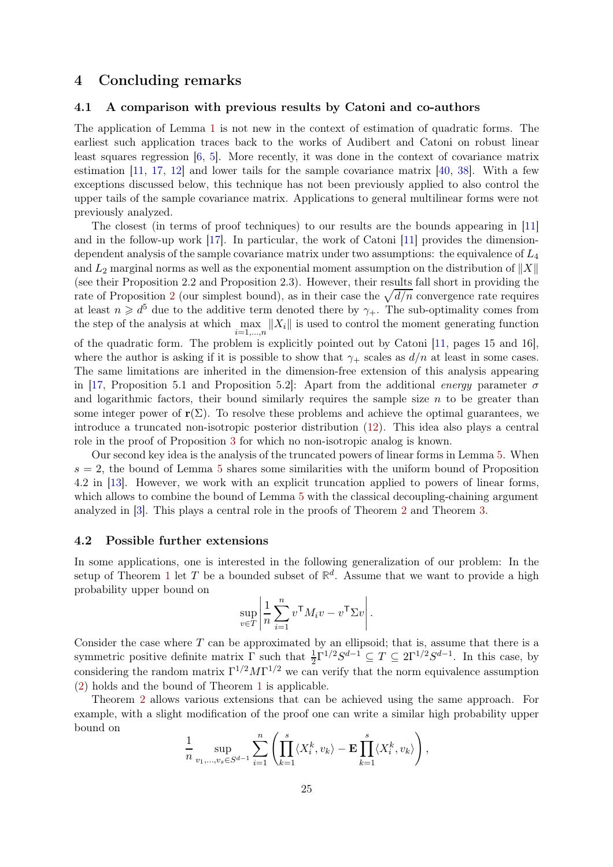## <span id="page-24-0"></span>4 Concluding remarks

### 4.1 A comparison with previous results by Catoni and co-authors

The application of Lemma [1](#page-5-2) is not new in the context of estimation of quadratic forms. The earliest such application traces back to the works of Audibert and Catoni on robust linear least squares regression [\[6,](#page-25-7) [5\]](#page-25-8). More recently, it was done in the context of covariance matrix estimation [\[11,](#page-25-6) [17,](#page-26-21) [12\]](#page-25-5) and lower tails for the sample covariance matrix [\[40,](#page-26-14) [38\]](#page-26-25). With a few exceptions discussed below, this technique has not been previously applied to also control the upper tails of the sample covariance matrix. Applications to general multilinear forms were not previously analyzed.

The closest (in terms of proof techniques) to our results are the bounds appearing in [\[11\]](#page-25-6) and in the follow-up work [\[17\]](#page-26-21). In particular, the work of Catoni [\[11\]](#page-25-6) provides the dimensiondependent analysis of the sample covariance matrix under two assumptions: the equivalence of  $L_4$ and  $L_2$  marginal norms as well as the exponential moment assumption on the distribution of  $||X||$ (see their Proposition 2.2 and Proposition 2.3). However, their results fall short in providing the rate of Proposition [2](#page-7-0) (our simplest bound), as in their case the  $\sqrt{d/n}$  convergence rate requires at least  $n \geq d^5$  due to the additive term denoted there by  $\gamma_+$ . The sub-optimality comes from the step of the analysis at which  $\max_{i=1,\dots,n} \|X_i\|$  is used to control the moment generating function of the quadratic form. The problem is explicitly pointed out by Catoni [\[11,](#page-25-6) pages 15 and 16], where the author is asking if it is possible to show that  $\gamma_+$  scales as  $d/n$  at least in some cases. The same limitations are inherited in the dimension-free extension of this analysis appearing in [\[17,](#page-26-21) Proposition 5.1 and Proposition 5.2]: Apart from the additional energy parameter  $\sigma$ and logarithmic factors, their bound similarly requires the sample size  $n$  to be greater than some integer power of  $r(\Sigma)$ . To resolve these problems and achieve the optimal guarantees, we introduce a truncated non-isotropic posterior distribution [\(12\)](#page-9-0). This idea also plays a central role in the proof of Proposition [3](#page-21-0) for which no non-isotropic analog is known.

Our second key idea is the analysis of the truncated powers of linear forms in Lemma [5.](#page-13-1) When  $s = 2$ , the bound of Lemma [5](#page-13-1) shares some similarities with the uniform bound of Proposition 4.2 in [\[13\]](#page-26-26). However, we work with an explicit truncation applied to powers of linear forms, which allows to combine the bound of Lemma [5](#page-13-1) with the classical decoupling-chaining argument analyzed in [\[3\]](#page-25-3). This plays a central role in the proofs of Theorem [2](#page-4-0) and Theorem [3.](#page-4-1)

### 4.2 Possible further extensions

In some applications, one is interested in the following generalization of our problem: In the setup of Theorem [1](#page-1-3) let T be a bounded subset of  $\mathbb{R}^d$ . Assume that we want to provide a high probability upper bound on

$$
\sup_{v \in T} \left| \frac{1}{n} \sum_{i=1}^{n} v^{\mathsf{T}} M_i v - v^{\mathsf{T}} \Sigma v \right|.
$$

Consider the case where  $T$  can be approximated by an ellipsoid; that is, assume that there is a symmetric positive definite matrix  $\Gamma$  such that  $\frac{1}{2}\Gamma^{1/2}S^{d-1} \subseteq T \subseteq 2\Gamma^{1/2}S^{d-1}$ . In this case, by considering the random matrix  $\Gamma^{1/2} M \Gamma^{1/2}$  we can verify that the norm equivalence assumption [\(2\)](#page-1-2) holds and the bound of Theorem [1](#page-1-3) is applicable.

Theorem [2](#page-4-0) allows various extensions that can be achieved using the same approach. For example, with a slight modification of the proof one can write a similar high probability upper bound on

$$
\frac{1}{n} \sup_{v_1,\ldots,v_s \in S^{d-1}} \sum_{i=1}^n \left( \prod_{k=1}^s \langle X_i^k, v_k \rangle - \mathbf{E} \prod_{k=1}^s \langle X_i^k, v_k \rangle \right),
$$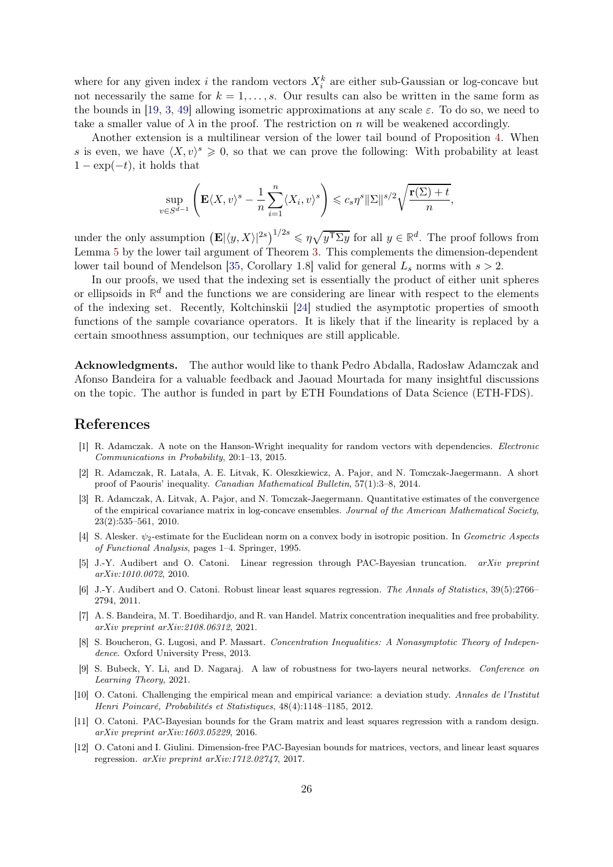where for any given index *i* the random vectors  $X_i^k$  are either sub-Gaussian or log-concave but not necessarily the same for  $k = 1, \ldots, s$ . Our results can also be written in the same form as the bounds in [\[19,](#page-26-9) [3,](#page-25-3) [49\]](#page-27-6) allowing isometric approximations at any scale  $\varepsilon$ . To do so, we need to take a smaller value of  $\lambda$  in the proof. The restriction on n will be weakened accordingly.

Another extension is a multilinear version of the lower tail bound of Proposition [4.](#page-22-4) When s is even, we have  $\langle X, v \rangle^s \geqslant 0$ , so that we can prove the following: With probability at least  $1 - \exp(-t)$ , it holds that

$$
\sup_{v \in S^{d-1}} \left( \mathbf{E} \langle X, v \rangle^s - \frac{1}{n} \sum_{i=1}^n \langle X_i, v \rangle^s \right) \leqslant c_s \eta^s ||\Sigma||^{s/2} \sqrt{\frac{\mathbf{r}(\Sigma) + t}{n}},
$$

under the only assumption  $(\mathbf{E}|\langle y, X \rangle|^{2s})^{1/2s} \leq \eta \sqrt{y^{\mathsf{T}} \Sigma y}$  for all  $y \in \mathbb{R}^d$ . The proof follows from Lemma [5](#page-13-1) by the lower tail argument of Theorem [3.](#page-4-1) This complements the dimension-dependent lower tail bound of Mendelson [\[35,](#page-26-11) Corollary 1.8] valid for general  $L_s$  norms with  $s > 2$ .

In our proofs, we used that the indexing set is essentially the product of either unit spheres or ellipsoids in  $\mathbb{R}^d$  and the functions we are considering are linear with respect to the elements of the indexing set. Recently, Koltchinskii [\[24\]](#page-26-27) studied the asymptotic properties of smooth functions of the sample covariance operators. It is likely that if the linearity is replaced by a certain smoothness assumption, our techniques are still applicable.

Acknowledgments. The author would like to thank Pedro Abdalla, Radosław Adamczak and Afonso Bandeira for a valuable feedback and Jaouad Mourtada for many insightful discussions on the topic. The author is funded in part by ETH Foundations of Data Science (ETH-FDS).

## <span id="page-25-0"></span>References

- [1] R. Adamczak. A note on the Hanson-Wright inequality for random vectors with dependencies. Electronic Communications in Probability, 20:1–13, 2015.
- <span id="page-25-10"></span>[2] R. Adamczak, R. Latała, A. E. Litvak, K. Oleszkiewicz, A. Pajor, and N. Tomczak-Jaegermann. A short proof of Paouris' inequality. Canadian Mathematical Bulletin, 57(1):3–8, 2014.
- <span id="page-25-3"></span>[3] R. Adamczak, A. Litvak, A. Pajor, and N. Tomczak-Jaegermann. Quantitative estimates of the convergence of the empirical covariance matrix in log-concave ensembles. Journal of the American Mathematical Society, 23(2):535–561, 2010.
- <span id="page-25-11"></span>[4] S. Alesker.  $\psi_2$ -estimate for the Euclidean norm on a convex body in isotropic position. In Geometric Aspects of Functional Analysis, pages 1–4. Springer, 1995.
- <span id="page-25-8"></span>[5] J.-Y. Audibert and O. Catoni. Linear regression through PAC-Bayesian truncation. arXiv preprint arXiv:1010.0072, 2010.
- <span id="page-25-7"></span>[6] J.-Y. Audibert and O. Catoni. Robust linear least squares regression. The Annals of Statistics, 39(5):2766– 2794, 2011.
- <span id="page-25-1"></span>[7] A. S. Bandeira, M. T. Boedihardjo, and R. van Handel. Matrix concentration inequalities and free probability. arXiv preprint arXiv:2108.06312, 2021.
- <span id="page-25-4"></span>[8] S. Boucheron, G. Lugosi, and P. Massart. Concentration Inequalities: A Nonasymptotic Theory of Independence. Oxford University Press, 2013.
- <span id="page-25-2"></span>[9] S. Bubeck, Y. Li, and D. Nagaraj. A law of robustness for two-layers neural networks. Conference on Learning Theory, 2021.
- <span id="page-25-9"></span>[10] O. Catoni. Challenging the empirical mean and empirical variance: a deviation study. Annales de l'Institut Henri Poincaré, Probabilités et Statistiques, 48(4):1148–1185, 2012.
- <span id="page-25-6"></span>[11] O. Catoni. PAC-Bayesian bounds for the Gram matrix and least squares regression with a random design. arXiv preprint arXiv:1603.05229, 2016.
- <span id="page-25-5"></span>[12] O. Catoni and I. Giulini. Dimension-free PAC-Bayesian bounds for matrices, vectors, and linear least squares regression. arXiv preprint arXiv:1712.02747, 2017.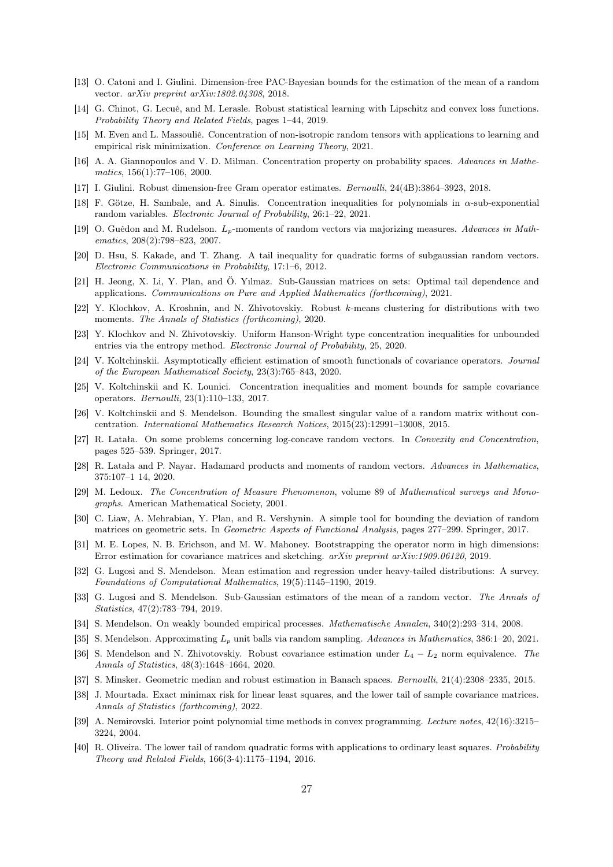- <span id="page-26-26"></span><span id="page-26-18"></span>[13] O. Catoni and I. Giulini. Dimension-free PAC-Bayesian bounds for the estimation of the mean of a random vector. arXiv preprint arXiv:1802.04308, 2018.
- <span id="page-26-6"></span>[14] G. Chinot, G. Lecué, and M. Lerasle. Robust statistical learning with Lipschitz and convex loss functions. Probability Theory and Related Fields, pages 1–44, 2019.
- <span id="page-26-8"></span>[15] M. Even and L. Massoulié. Concentration of non-isotropic random tensors with applications to learning and empirical risk minimization. Conference on Learning Theory, 2021.
- [16] A. A. Giannopoulos and V. D. Milman. Concentration property on probability spaces. Advances in Mathematics, 156(1):77–106, 2000.
- <span id="page-26-21"></span><span id="page-26-5"></span>[17] I. Giulini. Robust dimension-free Gram operator estimates. Bernoulli, 24(4B):3864–3923, 2018.
- <span id="page-26-9"></span>[18] F. Götze, H. Sambale, and A. Sinulis. Concentration inequalities for polynomials in α-sub-exponential random variables. Electronic Journal of Probability, 26:1–22, 2021.
- [19] O. Guédon and M. Rudelson. Lp-moments of random vectors via majorizing measures. Advances in Mathematics, 208(2):798–823, 2007.
- <span id="page-26-12"></span><span id="page-26-2"></span>[20] D. Hsu, S. Kakade, and T. Zhang. A tail inequality for quadratic forms of subgaussian random vectors. Electronic Communications in Probability, 17:1–6, 2012.
- [21] H. Jeong, X. Li, Y. Plan, and Ö. Yılmaz. Sub-Gaussian matrices on sets: Optimal tail dependence and applications. Communications on Pure and Applied Mathematics (forthcoming), 2021.
- <span id="page-26-19"></span>[22] Y. Klochkov, A. Kroshnin, and N. Zhivotovskiy. Robust k-means clustering for distributions with two moments. The Annals of Statistics (forthcoming), 2020.
- <span id="page-26-3"></span>[23] Y. Klochkov and N. Zhivotovskiy. Uniform Hanson-Wright type concentration inequalities for unbounded entries via the entropy method. Electronic Journal of Probability, 25, 2020.
- <span id="page-26-27"></span>[24] V. Koltchinskii. Asymptotically efficient estimation of smooth functionals of covariance operators. Journal of the European Mathematical Society, 23(3):765–843, 2020.
- <span id="page-26-0"></span>[25] V. Koltchinskii and K. Lounici. Concentration inequalities and moment bounds for sample covariance operators. Bernoulli, 23(1):110–133, 2017.
- <span id="page-26-24"></span>[26] V. Koltchinskii and S. Mendelson. Bounding the smallest singular value of a random matrix without concentration. International Mathematics Research Notices, 2015(23):12991–13008, 2015.
- <span id="page-26-23"></span>[27] R. Latała. On some problems concerning log-concave random vectors. In Convexity and Concentration, pages 525–539. Springer, 2017.
- <span id="page-26-22"></span>[28] R. Latała and P. Nayar. Hadamard products and moments of random vectors. Advances in Mathematics, 375:107–1 14, 2020.
- <span id="page-26-13"></span>[29] M. Ledoux. The Concentration of Measure Phenomenon, volume 89 of Mathematical surveys and Monographs. American Mathematical Society, 2001.
- <span id="page-26-1"></span>[30] C. Liaw, A. Mehrabian, Y. Plan, and R. Vershynin. A simple tool for bounding the deviation of random matrices on geometric sets. In Geometric Aspects of Functional Analysis, pages 277–299. Springer, 2017.
- <span id="page-26-4"></span>[31] M. E. Lopes, N. B. Erichson, and M. W. Mahoney. Bootstrapping the operator norm in high dimensions: Error estimation for covariance matrices and sketching. arXiv preprint arXiv:1909.06120, 2019.
- <span id="page-26-20"></span>[32] G. Lugosi and S. Mendelson. Mean estimation and regression under heavy-tailed distributions: A survey. Foundations of Computational Mathematics, 19(5):1145–1190, 2019.
- <span id="page-26-16"></span>[33] G. Lugosi and S. Mendelson. Sub-Gaussian estimators of the mean of a random vector. The Annals of Statistics, 47(2):783–794, 2019.
- <span id="page-26-11"></span><span id="page-26-10"></span>[34] S. Mendelson. On weakly bounded empirical processes. Mathematische Annalen, 340(2):293–314, 2008.
- <span id="page-26-17"></span>[35] S. Mendelson. Approximating L<sup>p</sup> unit balls via random sampling. Advances in Mathematics, 386:1–20, 2021.
- [36] S. Mendelson and N. Zhivotovskiy. Robust covariance estimation under  $L_4 L_2$  norm equivalence. The Annals of Statistics, 48(3):1648–1664, 2020.
- <span id="page-26-25"></span><span id="page-26-15"></span>[37] S. Minsker. Geometric median and robust estimation in Banach spaces. Bernoulli, 21(4):2308–2335, 2015.
- [38] J. Mourtada. Exact minimax risk for linear least squares, and the lower tail of sample covariance matrices. Annals of Statistics (forthcoming), 2022.
- <span id="page-26-7"></span>[39] A. Nemirovski. Interior point polynomial time methods in convex programming. Lecture notes, 42(16):3215– 3224, 2004.
- <span id="page-26-14"></span>[40] R. Oliveira. The lower tail of random quadratic forms with applications to ordinary least squares. Probability Theory and Related Fields, 166(3-4):1175–1194, 2016.